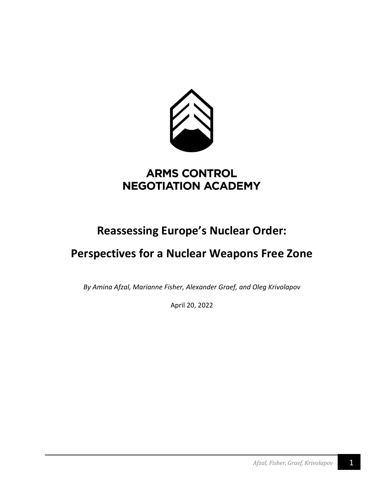

# **ARMS CONTROL NEGOTIATION ACADEMY**

# **Reassessing Europe's Nuclear Order:**

# **Perspectives for a Nuclear Weapons Free Zone**

*By Amina Afzal, Marianne Fisher, Alexander Graef, and Oleg Krivolapov*

April 20, 2022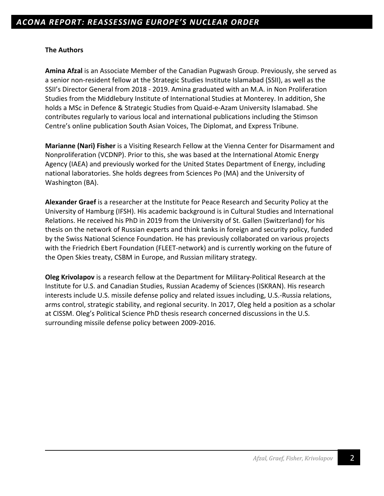### **The Authors**

**Amina Afzal** is an Associate Member of the Canadian Pugwash Group. Previously, she served as a senior non-resident fellow at the Strategic Studies Institute Islamabad (SSII), as well as the SSII's Director General from 2018 - 2019. Amina graduated with an M.A. in Non Proliferation Studies from the Middlebury Institute of International Studies at Monterey. In addition, She holds a MSc in Defence & Strategic Studies from Quaid-e-Azam University Islamabad. She contributes regularly to various local and international publications including the Stimson Centre's online publication South Asian Voices, The Diplomat, and Express Tribune.

**Marianne (Nari) Fisher** is a Visiting Research Fellow at the Vienna Center for Disarmament and Nonproliferation (VCDNP). Prior to this, she was based at the International Atomic Energy Agency (IAEA) and previously worked for the United States Department of Energy, including national laboratories. She holds degrees from Sciences Po (MA) and the University of Washington (BA).

**Alexander Graef** is a researcher at the Institute for Peace Research and Security Policy at the University of Hamburg (IFSH). His academic background is in Cultural Studies and International Relations. He received his PhD in 2019 from the University of St. Gallen (Switzerland) for his thesis on the network of Russian experts and think tanks in foreign and security policy, funded by the Swiss National Science Foundation. He has previously collaborated on various projects with the Friedrich Ebert Foundation (FLEET-network) and is currently working on the future of the Open Skies treaty, CSBM in Europe, and Russian military strategy.

**Oleg Krivolapov** is a research fellow at the Department for Military-Political Research at the Institute for U.S. and Canadian Studies, Russian Academy of Sciences (ISKRAN). His research interests include U.S. missile defense policy and related issues including, U.S.-Russia relations, arms control, strategic stability, and regional security. In 2017, Oleg held a position as a scholar at CISSM. Oleg's Political Science PhD thesis research concerned discussions in the U.S. surrounding missile defense policy between 2009-2016.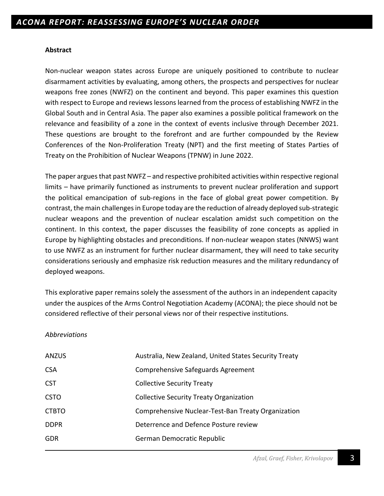### **Abstract**

Non-nuclear weapon states across Europe are uniquely positioned to contribute to nuclear disarmament activities by evaluating, among others, the prospects and perspectives for nuclear weapons free zones (NWFZ) on the continent and beyond. This paper examines this question with respect to Europe and reviews lessons learned from the process of establishing NWFZ in the Global South and in Central Asia. The paper also examines a possible political framework on the relevance and feasibility of a zone in the context of events inclusive through December 2021. These questions are brought to the forefront and are further compounded by the Review Conferences of the Non-Proliferation Treaty (NPT) and the first meeting of States Parties of Treaty on the Prohibition of Nuclear Weapons (TPNW) in June 2022.

The paper argues that past NWFZ – and respective prohibited activities within respective regional limits – have primarily functioned as instruments to prevent nuclear proliferation and support the political emancipation of sub-regions in the face of global great power competition. By contrast, the main challenges in Europe today are the reduction of already deployed sub-strategic nuclear weapons and the prevention of nuclear escalation amidst such competition on the continent. In this context, the paper discusses the feasibility of zone concepts as applied in Europe by highlighting obstacles and preconditions. If non-nuclear weapon states (NNWS) want to use NWFZ as an instrument for further nuclear disarmament, they will need to take security considerations seriously and emphasize risk reduction measures and the military redundancy of deployed weapons.

This explorative paper remains solely the assessment of the authors in an independent capacity under the auspices of the Arms Control Negotiation Academy (ACONA); the piece should not be considered reflective of their personal views nor of their respective institutions.

### *Abbreviations*

| <b>ANZUS</b> | Australia, New Zealand, United States Security Treaty |
|--------------|-------------------------------------------------------|
| <b>CSA</b>   | Comprehensive Safeguards Agreement                    |
| <b>CST</b>   | <b>Collective Security Treaty</b>                     |
| <b>CSTO</b>  | <b>Collective Security Treaty Organization</b>        |
| <b>CTBTO</b> | Comprehensive Nuclear-Test-Ban Treaty Organization    |
| <b>DDPR</b>  | Deterrence and Defence Posture review                 |
| <b>GDR</b>   | German Democratic Republic                            |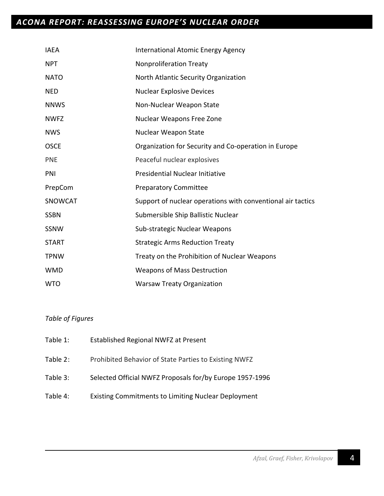# *ACONA REPORT: REASSESSING EUROPE'S NUCLEAR ORDER*

| <b>IAEA</b>    | <b>International Atomic Energy Agency</b>                   |
|----------------|-------------------------------------------------------------|
| <b>NPT</b>     | <b>Nonproliferation Treaty</b>                              |
| <b>NATO</b>    | North Atlantic Security Organization                        |
| <b>NED</b>     | <b>Nuclear Explosive Devices</b>                            |
| <b>NNWS</b>    | Non-Nuclear Weapon State                                    |
| <b>NWFZ</b>    | Nuclear Weapons Free Zone                                   |
| <b>NWS</b>     | Nuclear Weapon State                                        |
| <b>OSCE</b>    | Organization for Security and Co-operation in Europe        |
| <b>PNE</b>     | Peaceful nuclear explosives                                 |
| PNI            | <b>Presidential Nuclear Initiative</b>                      |
| PrepCom        | <b>Preparatory Committee</b>                                |
| <b>SNOWCAT</b> | Support of nuclear operations with conventional air tactics |
| <b>SSBN</b>    | Submersible Ship Ballistic Nuclear                          |
| SSNW           | Sub-strategic Nuclear Weapons                               |
| <b>START</b>   | <b>Strategic Arms Reduction Treaty</b>                      |
| <b>TPNW</b>    | Treaty on the Prohibition of Nuclear Weapons                |
| <b>WMD</b>     | <b>Weapons of Mass Destruction</b>                          |
| <b>WTO</b>     | <b>Warsaw Treaty Organization</b>                           |

# *Table of Figures*

| Table 1: | Established Regional NWFZ at Present                       |
|----------|------------------------------------------------------------|
| Table 2: | Prohibited Behavior of State Parties to Existing NWFZ      |
| Table 3: | Selected Official NWFZ Proposals for/by Europe 1957-1996   |
| Table 4: | <b>Existing Commitments to Limiting Nuclear Deployment</b> |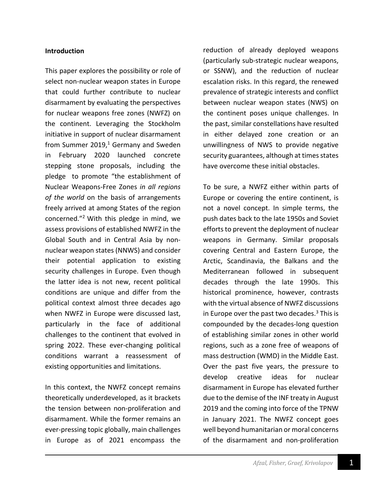### **Introduction**

This paper explores the possibility or role of select non-nuclear weapon states in Europe that could further contribute to nuclear disarmament by evaluating the perspectives for nuclear weapons free zones (NWFZ) on the continent. Leveraging the Stockholm initiative in support of nuclear disarmament from Summer 2019, <sup>1</sup> Germany and Sweden in February 2020 launched concrete stepping stone proposals, including the pledge to promote "the establishment of Nuclear Weapons-Free Zones *in all regions of the world* on the basis of arrangements freely arrived at among States of the region concerned."2 With this pledge in mind, we assess provisions of established NWFZ in the Global South and in Central Asia by nonnuclear weapon states (NNWS) and consider their potential application to existing security challenges in Europe. Even though the latter idea is not new, recent political conditions are unique and differ from the political context almost three decades ago when NWFZ in Europe were discussed last, particularly in the face of additional challenges to the continent that evolved in spring 2022. These ever-changing political conditions warrant a reassessment of existing opportunities and limitations.

In this context, the NWFZ concept remains theoretically underdeveloped, as it brackets the tension between non-proliferation and disarmament. While the former remains an ever-pressing topic globally, main challenges in Europe as of 2021 encompass the reduction of already deployed weapons (particularly sub-strategic nuclear weapons, or SSNW), and the reduction of nuclear escalation risks. In this regard, the renewed prevalence of strategic interests and conflict between nuclear weapon states (NWS) on the continent poses unique challenges. In the past, similar constellations have resulted in either delayed zone creation or an unwillingness of NWS to provide negative security guarantees, although at times states have overcome these initial obstacles.

To be sure, a NWFZ either within parts of Europe or covering the entire continent, is not a novel concept. In simple terms, the push dates back to the late 1950s and Soviet efforts to prevent the deployment of nuclear weapons in Germany. Similar proposals covering Central and Eastern Europe, the Arctic, Scandinavia, the Balkans and the Mediterranean followed in subsequent decades through the late 1990s. This historical prominence, however, contrasts with the virtual absence of NWFZ discussions in Europe over the past two decades.<sup>3</sup> This is compounded by the decades-long question of establishing similar zones in other world regions, such as a zone free of weapons of mass destruction (WMD) in the Middle East. Over the past five years, the pressure to develop creative ideas for nuclear disarmament in Europe has elevated further due to the demise of the INF treaty in August 2019 and the coming into force of the TPNW in January 2021. The NWFZ concept goes well beyond humanitarian or moral concerns of the disarmament and non-proliferation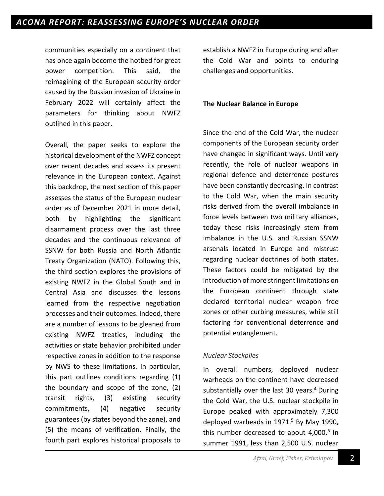communities especially on a continent that has once again become the hotbed for great power competition. This said, the reimagining of the European security order caused by the Russian invasion of Ukraine in February 2022 will certainly affect the parameters for thinking about NWFZ outlined in this paper.

Overall, the paper seeks to explore the historical development of the NWFZ concept over recent decades and assess its present relevance in the European context. Against this backdrop, the next section of this paper assesses the status of the European nuclear order as of December 2021 in more detail, both by highlighting the significant disarmament process over the last three decades and the continuous relevance of SSNW for both Russia and North Atlantic Treaty Organization (NATO). Following this, the third section explores the provisions of existing NWFZ in the Global South and in Central Asia and discusses the lessons learned from the respective negotiation processes and their outcomes. Indeed, there are a number of lessons to be gleaned from existing NWFZ treaties, including the activities or state behavior prohibited under respective zones in addition to the response by NWS to these limitations. In particular, this part outlines conditions regarding (1) the boundary and scope of the zone, (2) transit rights, (3) existing security commitments, (4) negative security guarantees (by states beyond the zone), and (5) the means of verification. Finally, the fourth part explores historical proposals to

establish a NWFZ in Europe during and after the Cold War and points to enduring challenges and opportunities.

#### **The Nuclear Balance in Europe**

Since the end of the Cold War, the nuclear components of the European security order have changed in significant ways. Until very recently, the role of nuclear weapons in regional defence and deterrence postures have been constantly decreasing. In contrast to the Cold War, when the main security risks derived from the overall imbalance in force levels between two military alliances, today these risks increasingly stem from imbalance in the U.S. and Russian SSNW arsenals located in Europe and mistrust regarding nuclear doctrines of both states. These factors could be mitigated by the introduction of more stringent limitations on the European continent through state declared territorial nuclear weapon free zones or other curbing measures, while still factoring for conventional deterrence and potential entanglement.

### *Nuclear Stockpiles*

In overall numbers, deployed nuclear warheads on the continent have decreased substantially over the last 30 years.<sup>4</sup> During the Cold War, the U.S. nuclear stockpile in Europe peaked with approximately 7,300 deployed warheads in  $1971<sup>5</sup>$  By May 1990, this number decreased to about  $4,000$ .<sup>6</sup> In summer 1991, less than 2,500 U.S. nuclear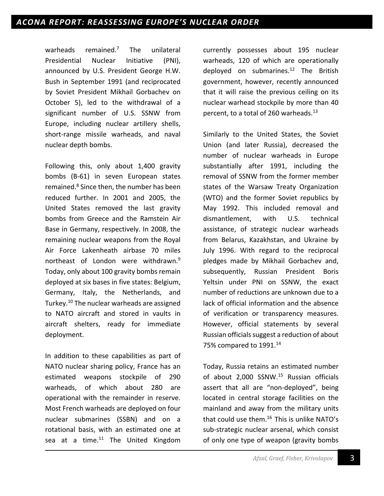warheads remained.<sup>7</sup> The unilateral Presidential Nuclear Initiative (PNI), announced by U.S. President George H.W. Bush in September 1991 (and reciprocated by Soviet President Mikhail Gorbachev on October 5), led to the withdrawal of a significant number of U.S. SSNW from Europe, including nuclear artillery shells, short-range missile warheads, and naval nuclear depth bombs.

Following this, only about 1,400 gravity bombs (B-61) in seven European states remained. <sup>8</sup> Since then, the number has been reduced further. In 2001 and 2005, the United States removed the last gravity bombs from Greece and the Ramstein Air Base in Germany, respectively. In 2008, the remaining nuclear weapons from the Royal Air Force Lakenheath airbase 70 miles northeast of London were withdrawn.<sup>9</sup> Today, only about 100 gravity bombs remain deployed at six bases in five states: Belgium, Germany, Italy, the Netherlands, and Turkey.10 The nuclear warheads are assigned to NATO aircraft and stored in vaults in aircraft shelters, ready for immediate deployment.

In addition to these capabilities as part of NATO nuclear sharing policy, France has an estimated weapons stockpile of 290 warheads, of which about 280 are operational with the remainder in reserve. Most French warheads are deployed on four nuclear submarines (SSBN) and on a rotational basis, with an estimated one at sea at a time. $11$  The United Kingdom

currently possesses about 195 nuclear warheads, 120 of which are operationally deployed on submarines. <sup>12</sup> The British government, however, recently announced that it will raise the previous ceiling on its nuclear warhead stockpile by more than 40 percent, to a total of 260 warheads.<sup>13</sup>

Similarly to the United States, the Soviet Union (and later Russia), decreased the number of nuclear warheads in Europe substantially after 1991, including the removal of SSNW from the former member states of the Warsaw Treaty Organization (WTO) and the former Soviet republics by May 1992. This included removal and dismantlement, with U.S. technical assistance, of strategic nuclear warheads from Belarus, Kazakhstan, and Ukraine by July 1996. With regard to the reciprocal pledges made by Mikhail Gorbachev and, subsequently, Russian President Boris Yeltsin under PNI on SSNW, the exact number of reductions are unknown due to a lack of official information and the absence of verification or transparency measures. However, official statements by several Russian officials suggest a reduction of about 75% compared to 1991.<sup>14</sup>

Today, Russia retains an estimated number of about 2,000 SSNW.<sup>15</sup> Russian officials assert that all are "non-deployed", being located in central storage facilities on the mainland and away from the military units that could use them.<sup>16</sup> This is unlike NATO's sub-strategic nuclear arsenal, which consist of only one type of weapon (gravity bombs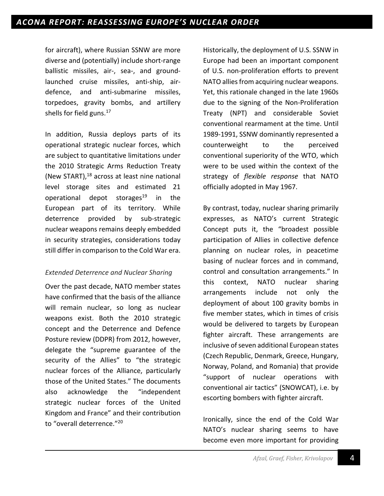for aircraft), where Russian SSNW are more diverse and (potentially) include short-range ballistic missiles, air-, sea-, and groundlaunched cruise missiles, anti-ship, airdefence, and anti-submarine missiles, torpedoes, gravity bombs, and artillery shells for field guns. $17$ 

In addition, Russia deploys parts of its operational strategic nuclear forces, which are subject to quantitative limitations under the 2010 Strategic Arms Reduction Treaty (New START), <sup>18</sup> across at least nine national level storage sites and estimated 21 operational depot storages<sup>19</sup> in the European part of its territory. While deterrence provided by sub-strategic nuclear weapons remains deeply embedded in security strategies, considerations today still differ in comparison to the Cold War era.

# *Extended Deterrence and Nuclear Sharing*

Over the past decade, NATO member states have confirmed that the basis of the alliance will remain nuclear, so long as nuclear weapons exist. Both the 2010 strategic concept and the Deterrence and Defence Posture review (DDPR) from 2012, however, delegate the "supreme guarantee of the security of the Allies" to "the strategic nuclear forces of the Alliance, particularly those of the United States." The documents also acknowledge the "independent strategic nuclear forces of the United Kingdom and France" and their contribution to "overall deterrence."20

Historically, the deployment of U.S. SSNW in Europe had been an important component of U.S. non-proliferation efforts to prevent NATO allies from acquiring nuclear weapons. Yet, this rationale changed in the late 1960s due to the signing of the Non-Proliferation Treaty (NPT) and considerable Soviet conventional rearmament at the time. Until 1989-1991, SSNW dominantly represented a counterweight to the perceived conventional superiority of the WTO, which were to be used within the context of the strategy of *flexible response* that NATO officially adopted in May 1967.

By contrast, today, nuclear sharing primarily expresses, as NATO's current Strategic Concept puts it, the "broadest possible participation of Allies in collective defence planning on nuclear roles, in peacetime basing of nuclear forces and in command, control and consultation arrangements." In this context, NATO nuclear sharing arrangements include not only the deployment of about 100 gravity bombs in five member states, which in times of crisis would be delivered to targets by European fighter aircraft. These arrangements are inclusive of seven additional European states (Czech Republic, Denmark, Greece, Hungary, Norway, Poland, and Romania) that provide "support of nuclear operations with conventional air tactics" (SNOWCAT), i.e. by escorting bombers with fighter aircraft.

Ironically, since the end of the Cold War NATO's nuclear sharing seems to have become even more important for providing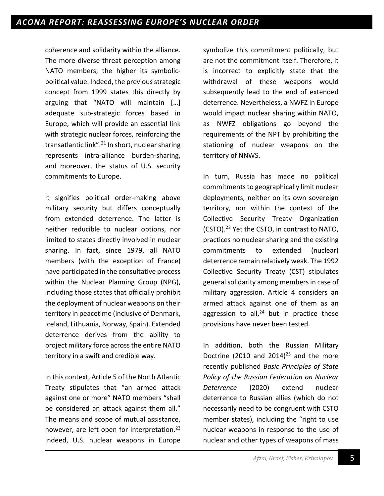coherence and solidarity within the alliance. The more diverse threat perception among NATO members, the higher its symbolicpolitical value. Indeed, the previous strategic concept from 1999 states this directly by arguing that "NATO will maintain […] adequate sub-strategic forces based in Europe, which will provide an essential link with strategic nuclear forces, reinforcing the transatlantic link".<sup>21</sup> In short, nuclear sharing represents intra-alliance burden-sharing, and moreover, the status of U.S. security commitments to Europe.

It signifies political order-making above military security but differs conceptually from extended deterrence. The latter is neither reducible to nuclear options, nor limited to states directly involved in nuclear sharing. In fact, since 1979, all NATO members (with the exception of France) have participated in the consultative process within the Nuclear Planning Group (NPG), including those states that officially prohibit the deployment of nuclear weapons on their territory in peacetime (inclusive of Denmark, Iceland, Lithuania, Norway, Spain). Extended deterrence derives from the ability to project military force across the entire NATO territory in a swift and credible way.

In this context, Article 5 of the North Atlantic Treaty stipulates that "an armed attack against one or more" NATO members "shall be considered an attack against them all." The means and scope of mutual assistance, however, are left open for interpretation.<sup>22</sup> Indeed, U.S. nuclear weapons in Europe

symbolize this commitment politically, but are not the commitment itself. Therefore, it is incorrect to explicitly state that the withdrawal of these weapons would subsequently lead to the end of extended deterrence. Nevertheless, a NWFZ in Europe would impact nuclear sharing within NATO, as NWFZ obligations go beyond the requirements of the NPT by prohibiting the stationing of nuclear weapons on the territory of NNWS.

In turn, Russia has made no political commitments to geographically limit nuclear deployments, neither on its own sovereign territory, nor within the context of the Collective Security Treaty Organization (CSTO).23 Yet the CSTO, in contrast to NATO, practices no nuclear sharing and the existing commitments to extended (nuclear) deterrence remain relatively weak. The 1992 Collective Security Treaty (CST) stipulates general solidarity among members in case of military aggression. Article 4 considers an armed attack against one of them as an aggression to all, $^{24}$  but in practice these provisions have never been tested.

In addition, both the Russian Military Doctrine (2010 and 2014)<sup>25</sup> and the more recently published *Basic Principles of State Policy of the Russian Federation on Nuclear Deterrence* (2020) extend nuclear deterrence to Russian allies (which do not necessarily need to be congruent with CSTO member states), including the "right to use nuclear weapons in response to the use of nuclear and other types of weapons of mass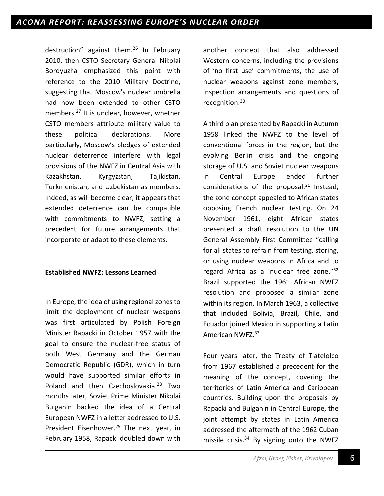destruction" against them.26 In February 2010, then CSTO Secretary General Nikolai Bordyuzha emphasized this point with reference to the 2010 Military Doctrine, suggesting that Moscow's nuclear umbrella had now been extended to other CSTO members.<sup>27</sup> It is unclear, however, whether CSTO members attribute military value to these political declarations. More particularly, Moscow's pledges of extended nuclear deterrence interfere with legal provisions of the NWFZ in Central Asia with Kazakhstan, Kyrgyzstan, Tajikistan, Turkmenistan, and Uzbekistan as members. Indeed, as will become clear, it appears that extended deterrence can be compatible with commitments to NWFZ, setting a precedent for future arrangements that incorporate or adapt to these elements.

### **Established NWFZ: Lessons Learned**

In Europe, the idea of using regional zones to limit the deployment of nuclear weapons was first articulated by Polish Foreign Minister Rapacki in October 1957 with the goal to ensure the nuclear-free status of both West Germany and the German Democratic Republic (GDR), which in turn would have supported similar efforts in Poland and then Czechoslovakia.<sup>28</sup> Two months later, Soviet Prime Minister Nikolai Bulganin backed the idea of a Central European NWFZ in a letter addressed to U.S. President Eisenhower.<sup>29</sup> The next year, in February 1958, Rapacki doubled down with

another concept that also addressed Western concerns, including the provisions of 'no first use' commitments, the use of nuclear weapons against zone members, inspection arrangements and questions of recognition.<sup>30</sup>

A third plan presented by Rapacki in Autumn 1958 linked the NWFZ to the level of conventional forces in the region, but the evolving Berlin crisis and the ongoing storage of U.S. and Soviet nuclear weapons in Central Europe ended further considerations of the proposal. <sup>31</sup> Instead, the zone concept appealed to African states opposing French nuclear testing. On 24 November 1961, eight African states presented a draft resolution to the UN General Assembly First Committee "calling for all states to refrain from testing, storing, or using nuclear weapons in Africa and to regard Africa as a 'nuclear free zone."<sup>32</sup> Brazil supported the 1961 African NWFZ resolution and proposed a similar zone within its region. In March 1963, a collective that included Bolivia, Brazil, Chile, and Ecuador joined Mexico in supporting a Latin American NWFZ.<sup>33</sup>

Four years later, the Treaty of Tlatelolco from 1967 established a precedent for the meaning of the concept, covering the territories of Latin America and Caribbean countries. Building upon the proposals by Rapacki and Bulganin in Central Europe, the joint attempt by states in Latin America addressed the aftermath of the 1962 Cuban missile crisis. $34$  By signing onto the NWFZ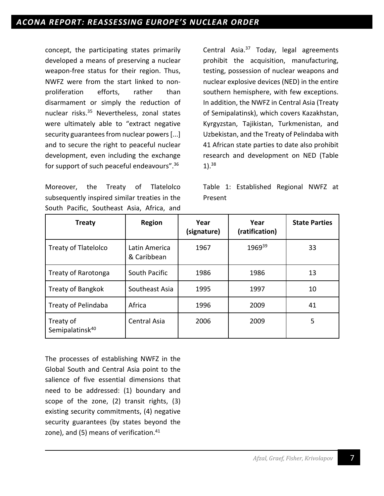concept, the participating states primarily developed a means of preserving a nuclear weapon-free status for their region. Thus, NWFZ were from the start linked to nonproliferation efforts, rather than disarmament or simply the reduction of nuclear risks.35 Nevertheless, zonal states were ultimately able to "extract negative security guarantees from nuclear powers [...] and to secure the right to peaceful nuclear development, even including the exchange for support of such peaceful endeavours". 36

Moreover, the Treaty of Tlatelolco subsequently inspired similar treaties in the South Pacific, Southeast Asia, Africa, and Central Asia.37 Today, legal agreements prohibit the acquisition, manufacturing, testing, possession of nuclear weapons and nuclear explosive devices (NED) in the entire southern hemisphere, with few exceptions. In addition, the NWFZ in Central Asia (Treaty of Semipalatinsk), which covers Kazakhstan, Kyrgyzstan, Tajikistan, Turkmenistan, and Uzbekistan, and the Treaty of Pelindaba with 41 African state parties to date also prohibit research and development on NED (Table 1). 38

Table 1: Established Regional NWFZ at Present

| <b>Treaty</b>                            | <b>Region</b>                | Year<br>(signature) | Year<br>(ratification) | <b>State Parties</b> |
|------------------------------------------|------------------------------|---------------------|------------------------|----------------------|
| <b>Treaty of Tlatelolco</b>              | Latin America<br>& Caribbean | 1967                | 1969 <sup>39</sup>     | 33                   |
| Treaty of Rarotonga                      | South Pacific                |                     | 1986                   | 13                   |
| <b>Treaty of Bangkok</b>                 | Southeast Asia               | 1995                | 1997                   | 10                   |
| Africa<br><b>Treaty of Pelindaba</b>     |                              | 1996                | 2009                   | 41                   |
| Treaty of<br>Semipalatinsk <sup>40</sup> | <b>Central Asia</b>          | 2006                | 2009                   | 5                    |

The processes of establishing NWFZ in the Global South and Central Asia point to the salience of five essential dimensions that need to be addressed: (1) boundary and scope of the zone, (2) transit rights, (3) existing security commitments, (4) negative security guarantees (by states beyond the zone), and (5) means of verification.<sup>41</sup>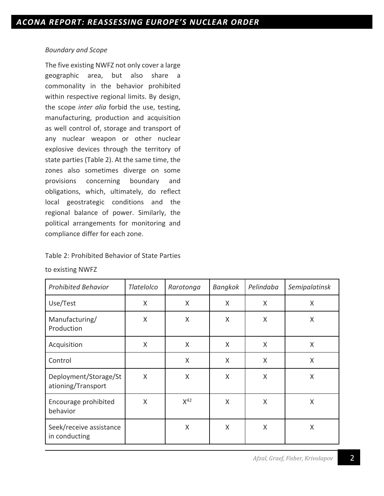## *Boundary and Scope*

The five existing NWFZ not only cover a large geographic area, but also share a commonality in the behavior prohibited within respective regional limits. By design, the scope *inter alia* forbid the use, testing, manufacturing, production and acquisition as well control of, storage and transport of any nuclear weapon or other nuclear explosive devices through the territory of state parties (Table 2). At the same time, the zones also sometimes diverge on some provisions concerning boundary and obligations, which, ultimately, do reflect local geostrategic conditions and the regional balance of power. Similarly, the political arrangements for monitoring and compliance differ for each zone.

# Table 2: Prohibited Behavior of State Parties

| <b>Prohibited Behavior</b>                  | Tlatelolco | Rarotonga | <b>Bangkok</b> | Pelindaba | Semipalatinsk |
|---------------------------------------------|------------|-----------|----------------|-----------|---------------|
| Use/Test                                    | X          | X         | X              | $\sf X$   | X             |
| Manufacturing/<br>Production                | $\sf X$    | X         | Χ              | X         | X             |
| Acquisition                                 | X          | X         | X              | $\sf X$   | X             |
| Control                                     |            | X         | Χ              | $\sf X$   | X             |
| Deployment/Storage/St<br>ationing/Transport | X          | X         | Χ              | X         | X             |
| Encourage prohibited<br>behavior            | X          | $X^{42}$  | Χ              | X         | X             |
| Seek/receive assistance<br>in conducting    |            | X         | Χ              | X         | X             |

to existing NWFZ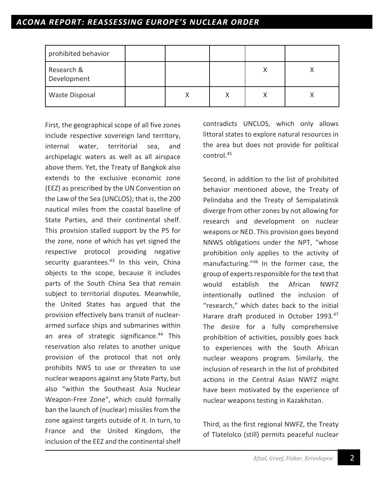# *ACONA REPORT: REASSESSING EUROPE'S NUCLEAR ORDER*

| prohibited behavior       |  |   |  |
|---------------------------|--|---|--|
| Research &<br>Development |  |   |  |
| <b>Waste Disposal</b>     |  | Х |  |

First, the geographical scope of all five zones include respective sovereign land territory, internal water, territorial sea, and archipelagic waters as well as all airspace above them. Yet, the Treaty of Bangkok also extends to the exclusive economic zone (EEZ) as prescribed by the UN Convention on the Law of the Sea (UNCLOS); that is, the 200 nautical miles from the coastal baseline of State Parties, and their continental shelf. This provision stalled support by the P5 for the zone, none of which has yet signed the respective protocol providing negative security guarantees. $43$  In this vein, China objects to the scope, because it includes parts of the South China Sea that remain subject to territorial disputes. Meanwhile, the United States has argued that the provision effectively bans transit of nucleararmed surface ships and submarines within an area of strategic significance.<sup>44</sup> This reservation also relates to another unique provision of the protocol that not only prohibits NWS to use or threaten to use nuclear weapons against any State Party, but also "within the Southeast Asia Nuclear Weapon-Free Zone", which could formally ban the launch of (nuclear) missiles from the zone against targets outside of it. In turn, to France and the United Kingdom, the inclusion of the EEZ and the continental shelf

contradicts UNCLOS, which only allows littoral states to explore natural resources in the area but does not provide for political control.45

Second, in addition to the list of prohibited behavior mentioned above, the Treaty of Pelindaba and the Treaty of Semipalatinsk diverge from other zones by not allowing for research and development on nuclear weapons or NED. This provision goes beyond NNWS obligations under the NPT, "whose prohibition only applies to the activity of manufacturing."46 In the former case, the group of experts responsible for the text that would establish the African NWFZ intentionally outlined the inclusion of "research," which dates back to the initial Harare draft produced in October 1993.<sup>47</sup> The desire for a fully comprehensive prohibition of activities, possibly goes back to experiences with the South African nuclear weapons program. Similarly, the inclusion of research in the list of prohibited actions in the Central Asian NWFZ might have been motivated by the experience of nuclear weapons testing in Kazakhstan.

Third, as the first regional NWFZ, the Treaty of Tlatelolco (still) permits peaceful nuclear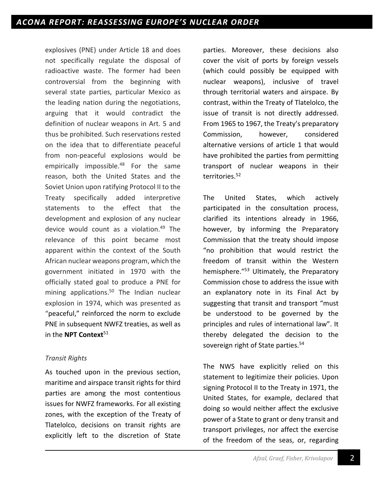explosives (PNE) under Article 18 and does not specifically regulate the disposal of radioactive waste. The former had been controversial from the beginning with several state parties, particular Mexico as the leading nation during the negotiations, arguing that it would contradict the definition of nuclear weapons in Art. 5 and thus be prohibited. Such reservations rested on the idea that to differentiate peaceful from non-peaceful explosions would be empirically impossible.<sup>48</sup> For the same reason, both the United States and the Soviet Union upon ratifying Protocol II to the Treaty specifically added interpretive statements to the effect that the development and explosion of any nuclear device would count as a violation.49 The relevance of this point became most apparent within the context of the South African nuclear weapons program, which the government initiated in 1970 with the officially stated goal to produce a PNE for mining applications.<sup>50</sup> The Indian nuclear explosion in 1974, which was presented as "peaceful," reinforced the norm to exclude PNE in subsequent NWFZ treaties, as well as in the **NPT Context**<sup>51</sup>

# *Transit Rights*

As touched upon in the previous section, maritime and airspace transit rights for third parties are among the most contentious issues for NWFZ frameworks. For all existing zones, with the exception of the Treaty of Tlatelolco, decisions on transit rights are explicitly left to the discretion of State

parties. Moreover, these decisions also cover the visit of ports by foreign vessels (which could possibly be equipped with nuclear weapons), inclusive of travel through territorial waters and airspace. By contrast, within the Treaty of Tlatelolco, the issue of transit is not directly addressed. From 1965 to 1967, the Treaty's preparatory Commission, however, considered alternative versions of article 1 that would have prohibited the parties from permitting transport of nuclear weapons in their territories.<sup>52</sup>

The United States, which actively participated in the consultation process, clarified its intentions already in 1966, however, by informing the Preparatory Commission that the treaty should impose "no prohibition that would restrict the freedom of transit within the Western hemisphere."<sup>53</sup> Ultimately, the Preparatory Commission chose to address the issue with an explanatory note in its Final Act by suggesting that transit and transport "must be understood to be governed by the principles and rules of international law". It thereby delegated the decision to the sovereign right of State parties.<sup>54</sup>

The NWS have explicitly relied on this statement to legitimize their policies. Upon signing Protocol II to the Treaty in 1971, the United States, for example, declared that doing so would neither affect the exclusive power of a State to grant or deny transit and transport privileges, nor affect the exercise of the freedom of the seas, or, regarding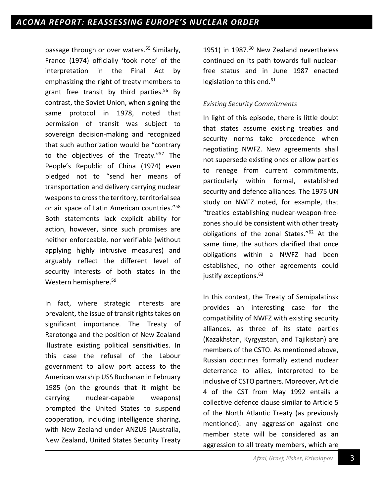passage through or over waters.<sup>55</sup> Similarly, France (1974) officially 'took note' of the interpretation in the Final Act by emphasizing the right of treaty members to grant free transit by third parties. <sup>56</sup> By contrast, the Soviet Union, when signing the same protocol in 1978, noted that permission of transit was subject to sovereign decision-making and recognized that such authorization would be "contrary to the objectives of the Treaty."57 The People's Republic of China (1974) even pledged not to "send her means of transportation and delivery carrying nuclear weapons to cross the territory, territorial sea or air space of Latin American countries."<sup>58</sup> Both statements lack explicit ability for action, however, since such promises are neither enforceable, nor verifiable (without applying highly intrusive measures) and arguably reflect the different level of security interests of both states in the Western hemisphere.59

In fact, where strategic interests are prevalent, the issue of transit rights takes on significant importance. The Treaty of Rarotonga and the position of New Zealand illustrate existing political sensitivities. In this case the refusal of the Labour government to allow port access to the American warship USS Buchanan in February 1985 (on the grounds that it might be carrying nuclear-capable weapons) prompted the United States to suspend cooperation, including intelligence sharing, with New Zealand under ANZUS (Australia, New Zealand, United States Security Treaty 1951) in 1987.<sup>60</sup> New Zealand nevertheless continued on its path towards full nuclearfree status and in June 1987 enacted legislation to this end.<sup>61</sup>

### *Existing Security Commitments*

In light of this episode, there is little doubt that states assume existing treaties and security norms take precedence when negotiating NWFZ. New agreements shall not supersede existing ones or allow parties to renege from current commitments, particularly within formal, established security and defence alliances. The 1975 UN study on NWFZ noted, for example, that "treaties establishing nuclear-weapon-freezones should be consistent with other treaty obligations of the zonal States."62 At the same time, the authors clarified that once obligations within a NWFZ had been established, no other agreements could justify exceptions.<sup>63</sup>

In this context, the Treaty of Semipalatinsk provides an interesting case for the compatibility of NWFZ with existing security alliances, as three of its state parties (Kazakhstan, Kyrgyzstan, and Tajikistan) are members of the CSTO. As mentioned above, Russian doctrines formally extend nuclear deterrence to allies, interpreted to be inclusive of CSTO partners. Moreover, Article 4 of the CST from May 1992 entails a collective defence clause similar to Article 5 of the North Atlantic Treaty (as previously mentioned): any aggression against one member state will be considered as an aggression to all treaty members, which are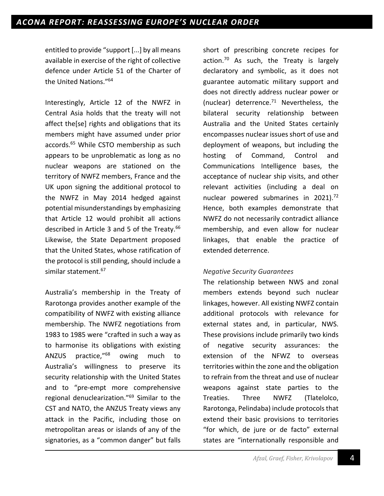entitled to provide "support [...] by all means available in exercise of the right of collective defence under Article 51 of the Charter of the United Nations."64

Interestingly, Article 12 of the NWFZ in Central Asia holds that the treaty will not affect the[se] rights and obligations that its members might have assumed under prior accords.65 While CSTO membership as such appears to be unproblematic as long as no nuclear weapons are stationed on the territory of NWFZ members, France and the UK upon signing the additional protocol to the NWFZ in May 2014 hedged against potential misunderstandings by emphasizing that Article 12 would prohibit all actions described in Article 3 and 5 of the Treaty.<sup>66</sup> Likewise, the State Department proposed that the United States, whose ratification of the protocol is still pending, should include a similar statement.<sup>67</sup>

Australia's membership in the Treaty of Rarotonga provides another example of the compatibility of NWFZ with existing alliance membership. The NWFZ negotiations from 1983 to 1985 were "crafted in such a way as to harmonise its obligations with existing ANZUS practice,"68 owing much to Australia's willingness to preserve its security relationship with the United States and to "pre-empt more comprehensive regional denuclearization."69 Similar to the CST and NATO, the ANZUS Treaty views any attack in the Pacific, including those on metropolitan areas or islands of any of the signatories, as a "common danger" but falls

short of prescribing concrete recipes for action.<sup>70</sup> As such, the Treaty is largely declaratory and symbolic, as it does not guarantee automatic military support and does not directly address nuclear power or (nuclear) deterrence. $71$  Nevertheless, the bilateral security relationship between Australia and the United States certainly encompasses nuclear issues short of use and deployment of weapons, but including the hosting of Command, Control and Communications Intelligence bases, the acceptance of nuclear ship visits, and other relevant activities (including a deal on nuclear powered submarines in 2021).<sup>72</sup> Hence, both examples demonstrate that NWFZ do not necessarily contradict alliance membership, and even allow for nuclear linkages, that enable the practice of extended deterrence.

### *Negative Security Guarantees*

The relationship between NWS and zonal members extends beyond such nuclear linkages, however. All existing NWFZ contain additional protocols with relevance for external states and, in particular, NWS. These provisions include primarily two kinds of negative security assurances: the extension of the NFWZ to overseas territories within the zone and the obligation to refrain from the threat and use of nuclear weapons against state parties to the Treaties. Three NWFZ (Tlatelolco, Rarotonga, Pelindaba) include protocols that extend their basic provisions to territories "for which, de jure or de facto" external states are "internationally responsible and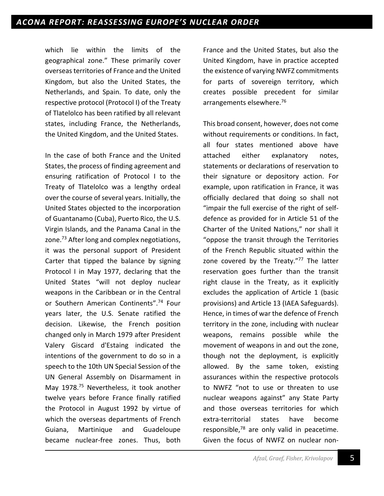which lie within the limits of the geographical zone." These primarily cover overseas territories of France and the United Kingdom, but also the United States, the Netherlands, and Spain. To date, only the respective protocol (Protocol I) of the Treaty of Tlatelolco has been ratified by all relevant states, including France, the Netherlands, the United Kingdom, and the United States.

In the case of both France and the United States, the process of finding agreement and ensuring ratification of Protocol I to the Treaty of Tlatelolco was a lengthy ordeal over the course of several years. Initially, the United States objected to the incorporation of Guantanamo (Cuba), Puerto Rico, the U.S. Virgin Islands, and the Panama Canal in the zone.<sup>73</sup> After long and complex negotiations, it was the personal support of President Carter that tipped the balance by signing Protocol I in May 1977, declaring that the United States "will not deploy nuclear weapons in the Caribbean or in the Central or Southern American Continents".<sup>74</sup> Four years later, the U.S. Senate ratified the decision. Likewise, the French position changed only in March 1979 after President Valery Giscard d'Estaing indicated the intentions of the government to do so in a speech to the 10th UN Special Session of the UN General Assembly on Disarmament in May 1978.<sup>75</sup> Nevertheless, it took another twelve years before France finally ratified the Protocol in August 1992 by virtue of which the overseas departments of French Guiana, Martinique and Guadeloupe became nuclear-free zones. Thus, both

France and the United States, but also the United Kingdom, have in practice accepted the existence of varying NWFZ commitments for parts of sovereign territory, which creates possible precedent for similar arrangements elsewhere.<sup>76</sup>

This broad consent, however, does not come without requirements or conditions. In fact, all four states mentioned above have attached either explanatory notes, statements or declarations of reservation to their signature or depository action. For example, upon ratification in France, it was officially declared that doing so shall not "impair the full exercise of the right of selfdefence as provided for in Article 51 of the Charter of the United Nations," nor shall it "oppose the transit through the Territories of the French Republic situated within the zone covered by the Treaty." $77$  The latter reservation goes further than the transit right clause in the Treaty, as it explicitly excludes the application of Article 1 (basic provisions) and Article 13 (IAEA Safeguards). Hence, in times of war the defence of French territory in the zone, including with nuclear weapons, remains possible while the movement of weapons in and out the zone, though not the deployment, is explicitly allowed. By the same token, existing assurances within the respective protocols to NWFZ "not to use or threaten to use nuclear weapons against" any State Party and those overseas territories for which extra-territorial states have become responsible, $78$  are only valid in peacetime. Given the focus of NWFZ on nuclear non-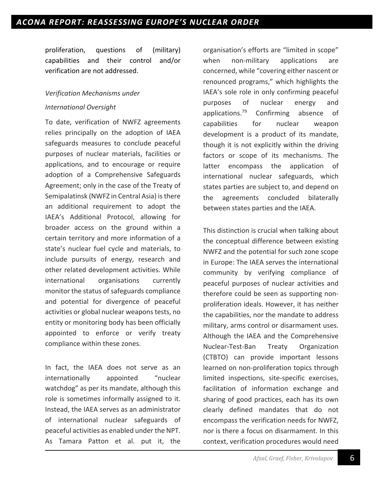proliferation, questions of (military) capabilities and their control and/or verification are not addressed.

# *Verification Mechanisms under International Oversight*

To date, verification of NWFZ agreements relies principally on the adoption of IAEA safeguards measures to conclude peaceful purposes of nuclear materials, facilities or applications, and to encourage or require adoption of a Comprehensive Safeguards Agreement; only in the case of the Treaty of Semipalatinsk (NWFZ in Central Asia) is there an additional requirement to adopt the IAEA's Additional Protocol, allowing for broader access on the ground within a certain territory and more information of a state's nuclear fuel cycle and materials, to include pursuits of energy, research and other related development activities. While international organisations currently monitor the status of safeguards compliance and potential for divergence of peaceful activities or global nuclear weapons tests, no entity or monitoring body has been officially appointed to enforce or verify treaty compliance within these zones.

In fact, the IAEA does not serve as an internationally appointed "nuclear watchdog" as per its mandate, although this role is sometimes informally assigned to it. Instead, the IAEA serves as an administrator of international nuclear safeguards of peaceful activities as enabled under the NPT. As Tamara Patton et al. put it, the

organisation's efforts are "limited in scope" when non-military applications are concerned, while "covering either nascent or renounced programs," which highlights the IAEA's sole role in only confirming peaceful purposes of nuclear energy and applications.<sup>79</sup> Confirming absence of capabilities for nuclear weapon development is a product of its mandate, though it is not explicitly within the driving factors or scope of its mechanisms. The latter encompass the application of international nuclear safeguards, which states parties are subject to, and depend on the agreements concluded bilaterally between states parties and the IAEA.

This distinction is crucial when talking about the conceptual difference between existing NWFZ and the potential for such zone scope in Europe: The IAEA serves the international community by verifying compliance of peaceful purposes of nuclear activities and therefore could be seen as supporting nonproliferation ideals. However, it has neither the capabilities, nor the mandate to address military, arms control or disarmament uses. Although the IAEA and the Comprehensive Nuclear-Test-Ban Treaty Organization (CTBTO) can provide important lessons learned on non-proliferation topics through limited inspections, site-specific exercises, facilitation of information exchange and sharing of good practices, each has its own clearly defined mandates that do not encompass the verification needs for NWFZ, nor is there a focus on disarmament. In this context, verification procedures would need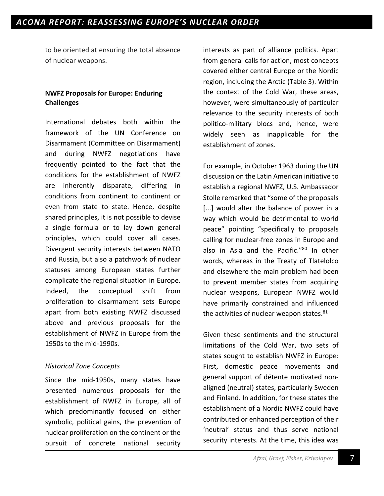to be oriented at ensuring the total absence of nuclear weapons.

## **NWFZ Proposals for Europe: Enduring Challenges**

International debates both within the framework of the UN Conference on Disarmament (Committee on Disarmament) and during NWFZ negotiations have frequently pointed to the fact that the conditions for the establishment of NWFZ are inherently disparate, differing in conditions from continent to continent or even from state to state. Hence, despite shared principles, it is not possible to devise a single formula or to lay down general principles, which could cover all cases. Divergent security interests between NATO and Russia, but also a patchwork of nuclear statuses among European states further complicate the regional situation in Europe. Indeed, the conceptual shift from proliferation to disarmament sets Europe apart from both existing NWFZ discussed above and previous proposals for the establishment of NWFZ in Europe from the 1950s to the mid-1990s.

# *Historical Zone Concepts*

Since the mid-1950s, many states have presented numerous proposals for the establishment of NWFZ in Europe, all of which predominantly focused on either symbolic, political gains, the prevention of nuclear proliferation on the continent or the pursuit of concrete national security

interests as part of alliance politics. Apart from general calls for action, most concepts covered either central Europe or the Nordic region, including the Arctic (Table 3). Within the context of the Cold War, these areas, however, were simultaneously of particular relevance to the security interests of both politico-military blocs and, hence, were widely seen as inapplicable for the establishment of zones.

For example, in October 1963 during the UN discussion on the Latin American initiative to establish a regional NWFZ, U.S. Ambassador Stolle remarked that "some of the proposals [...] would alter the balance of power in a way which would be detrimental to world peace" pointing "specifically to proposals calling for nuclear-free zones in Europe and also in Asia and the Pacific."80 In other words, whereas in the Treaty of Tlatelolco and elsewhere the main problem had been to prevent member states from acquiring nuclear weapons, European NWFZ would have primarily constrained and influenced the activities of nuclear weapon states. $81$ 

Given these sentiments and the structural limitations of the Cold War, two sets of states sought to establish NWFZ in Europe: First, domestic peace movements and general support of détente motivated nonaligned (neutral) states, particularly Sweden and Finland. In addition, for these states the establishment of a Nordic NWFZ could have contributed or enhanced perception of their 'neutral' status and thus serve national security interests. At the time, this idea was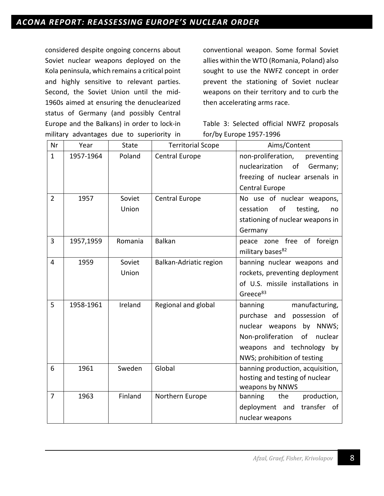considered despite ongoing concerns about Soviet nuclear weapons deployed on the Kola peninsula, which remains a critical point and highly sensitive to relevant parties. Second, the Soviet Union until the mid-1960s aimed at ensuring the denuclearized status of Germany (and possibly Central Europe and the Balkans) in order to lock-in military advantages due to superiority in conventional weapon. Some formal Soviet allies within the WTO (Romania, Poland) also sought to use the NWFZ concept in order prevent the stationing of Soviet nuclear weapons on their territory and to curb the then accelerating arms race.

Table 3: Selected official NWFZ proposals for/by Europe 1957-1996

| Nr             | Year      | <b>State</b>    | <b>Territorial Scope</b> | Aims/Content                                                                                                                                                                             |
|----------------|-----------|-----------------|--------------------------|------------------------------------------------------------------------------------------------------------------------------------------------------------------------------------------|
| $\mathbf{1}$   | 1957-1964 | Poland          | <b>Central Europe</b>    | non-proliferation,<br>preventing<br>nuclearization<br>of<br>Germany;<br>freezing of nuclear arsenals in<br><b>Central Europe</b>                                                         |
| $\overline{2}$ | 1957      | Soviet<br>Union | <b>Central Europe</b>    | No use of nuclear weapons,<br>of<br>cessation<br>testing,<br>no<br>stationing of nuclear weapons in<br>Germany                                                                           |
| 3              | 1957,1959 | Romania         | <b>Balkan</b>            | peace zone free of foreign<br>military bases <sup>82</sup>                                                                                                                               |
| $\overline{4}$ | 1959      | Soviet<br>Union | Balkan-Adriatic region   | banning nuclear weapons and<br>rockets, preventing deployment<br>of U.S. missile installations in<br>Greece <sup>83</sup>                                                                |
| 5              | 1958-1961 | Ireland         | Regional and global      | banning<br>manufacturing,<br>purchase<br>and<br>possession of<br>nuclear weapons by NNWS;<br>Non-proliferation<br>of nuclear<br>weapons and technology by<br>NWS; prohibition of testing |
| 6              | 1961      | Sweden          | Global                   | banning production, acquisition,<br>hosting and testing of nuclear<br>weapons by NNWS                                                                                                    |
| $\overline{7}$ | 1963      | Finland         | Northern Europe          | production,<br>banning<br>the<br>transfer of<br>deployment and<br>nuclear weapons                                                                                                        |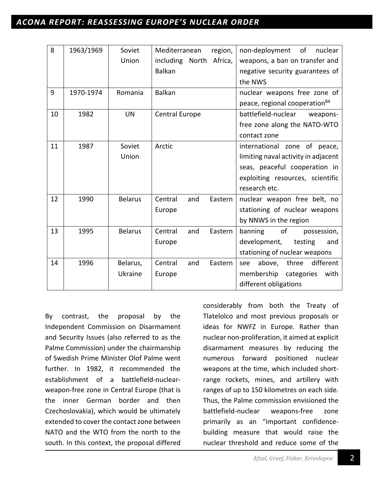# *ACONA REPORT: REASSESSING EUROPE'S NUCLEAR ORDER*

| 8  | 1963/1969 | Soviet         | Mediterranean<br>region,   | non-deployment<br>of<br>nuclear           |
|----|-----------|----------------|----------------------------|-------------------------------------------|
|    |           | Union          | including North<br>Africa, | weapons, a ban on transfer and            |
|    |           |                | <b>Balkan</b>              | negative security guarantees of           |
|    |           |                |                            | the NWS                                   |
| 9  | 1970-1974 | Romania        | <b>Balkan</b>              | nuclear weapons free zone of              |
|    |           |                |                            | peace, regional cooperation <sup>84</sup> |
| 10 | 1982      | <b>UN</b>      | <b>Central Europe</b>      | battlefield-nuclear<br>weapons-           |
|    |           |                |                            | free zone along the NATO-WTO              |
|    |           |                |                            | contact zone                              |
| 11 | 1987      | Soviet         | Arctic                     | international zone of peace,              |
|    |           | Union          |                            | limiting naval activity in adjacent       |
|    |           |                |                            | seas, peaceful cooperation in             |
|    |           |                |                            | exploiting resources, scientific          |
|    |           |                |                            | research etc.                             |
| 12 | 1990      | <b>Belarus</b> | Central<br>Eastern<br>and  | nuclear weapon free belt, no              |
|    |           |                | Europe                     | stationing of nuclear weapons             |
|    |           |                |                            | by NNWS in the region                     |
| 13 | 1995      | <b>Belarus</b> | Central<br>and<br>Eastern  | banning<br>of<br>possession,              |
|    |           |                | Europe                     | development,<br>testing<br>and            |
|    |           |                |                            | stationing of nuclear weapons             |
| 14 | 1996      | Belarus,       | Central<br>and<br>Eastern  | different<br>above,<br>three<br>see       |
|    |           | Ukraine        | Europe                     | membership categories<br>with             |
|    |           |                |                            | different obligations                     |

By contrast, the proposal by the Independent Commission on Disarmament and Security Issues (also referred to as the Palme Commission) under the chairmanship of Swedish Prime Minister Olof Palme went further. In 1982, it recommended the establishment of a battlefield-nuclearweapon-free zone in Central Europe (that is the inner German border and then Czechoslovakia), which would be ultimately extended to cover the contact zone between NATO and the WTO from the north to the south. In this context, the proposal differed

considerably from both the Treaty of Tlatelolco and most previous proposals or ideas for NWFZ in Europe. Rather than nuclear non-proliferation, it aimed at explicit disarmament measures by reducing the numerous forward positioned nuclear weapons at the time, which included shortrange rockets, mines, and artillery with ranges of up to 150 kilometres on each side. Thus, the Palme commission envisioned the battlefield-nuclear weapons-free zone primarily as an "important confidencebuilding measure that would raise the nuclear threshold and reduce some of the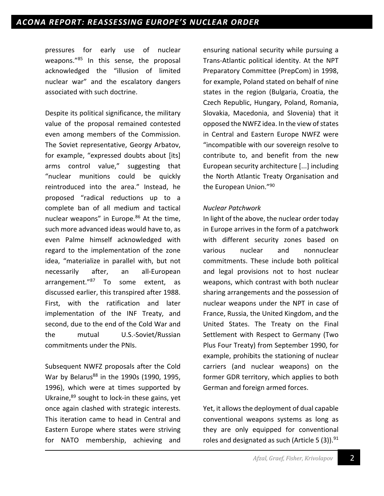pressures for early use of nuclear weapons."85 In this sense, the proposal acknowledged the "illusion of limited nuclear war" and the escalatory dangers associated with such doctrine.

Despite its political significance, the military value of the proposal remained contested even among members of the Commission. The Soviet representative, Georgy Arbatov, for example, "expressed doubts about [its] arms control value," suggesting that "nuclear munitions could be quickly reintroduced into the area." Instead, he proposed "radical reductions up to a complete ban of all medium and tactical nuclear weapons" in Europe.<sup>86</sup> At the time, such more advanced ideas would have to, as even Palme himself acknowledged with regard to the implementation of the zone idea, "materialize in parallel with, but not necessarily after, an all-European arrangement."87 To some extent, as discussed earlier, this transpired after 1988. First, with the ratification and later implementation of the INF Treaty, and second, due to the end of the Cold War and the mutual U.S.-Soviet/Russian commitments under the PNIs.

Subsequent NWFZ proposals after the Cold War by Belarus<sup>88</sup> in the 1990s (1990, 1995, 1996), which were at times supported by Ukraine,<sup>89</sup> sought to lock-in these gains, yet once again clashed with strategic interests. This iteration came to head in Central and Eastern Europe where states were striving for NATO membership, achieving and

ensuring national security while pursuing a Trans-Atlantic political identity. At the NPT Preparatory Committee (PrepCom) in 1998, for example, Poland stated on behalf of nine states in the region (Bulgaria, Croatia, the Czech Republic, Hungary, Poland, Romania, Slovakia, Macedonia, and Slovenia) that it opposed the NWFZ idea. In the view of states in Central and Eastern Europe NWFZ were "incompatible with our sovereign resolve to contribute to, and benefit from the new European security architecture [...] including the North Atlantic Treaty Organisation and the European Union."<sup>90</sup>

#### *Nuclear Patchwork*

In light of the above, the nuclear order today in Europe arrives in the form of a patchwork with different security zones based on various nuclear and nonnuclear commitments. These include both political and legal provisions not to host nuclear weapons, which contrast with both nuclear sharing arrangements and the possession of nuclear weapons under the NPT in case of France, Russia, the United Kingdom, and the United States. The Treaty on the Final Settlement with Respect to Germany (Two Plus Four Treaty) from September 1990, for example, prohibits the stationing of nuclear carriers (and nuclear weapons) on the former GDR territory, which applies to both German and foreign armed forces.

Yet, it allows the deployment of dual capable conventional weapons systems as long as they are only equipped for conventional roles and designated as such (Article 5  $(3)$ ).<sup>91</sup>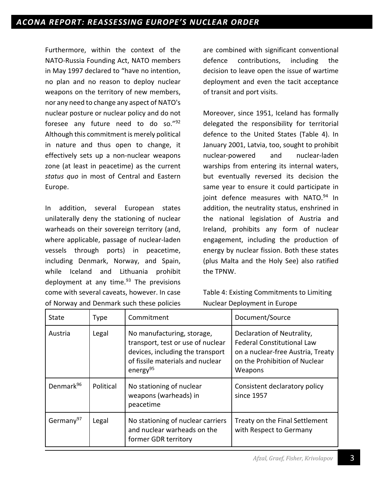Furthermore, within the context of the NATO-Russia Founding Act, NATO members in May 1997 declared to "have no intention, no plan and no reason to deploy nuclear weapons on the territory of new members, nor any need to change any aspect of NATO's nuclear posture or nuclear policy and do not foresee any future need to do so."92 Although this commitment is merely political in nature and thus open to change, it effectively sets up a non-nuclear weapons zone (at least in peacetime) as the current *status quo* in most of Central and Eastern Europe.

In addition, several European states unilaterally deny the stationing of nuclear warheads on their sovereign territory (and, where applicable, passage of nuclear-laden vessels through ports) in peacetime, including Denmark, Norway, and Spain, while Iceland and Lithuania prohibit deployment at any time. $93$  The previsions come with several caveats, however. In case of Norway and Denmark such these policies are combined with significant conventional defence contributions, including the decision to leave open the issue of wartime deployment and even the tacit acceptance of transit and port visits.

Moreover, since 1951, Iceland has formally delegated the responsibility for territorial defence to the United States (Table 4). In January 2001, Latvia, too, sought to prohibit nuclear-powered and nuclear-laden warships from entering its internal waters, but eventually reversed its decision the same year to ensure it could participate in joint defence measures with NATO.<sup>94</sup> In addition, the neutrality status, enshrined in the national legislation of Austria and Ireland, prohibits any form of nuclear engagement, including the production of energy by nuclear fission. Both these states (plus Malta and the Holy See) also ratified the TPNW.

Table 4: Existing Commitments to Limiting Nuclear Deployment in Europe

| State                 | <b>Type</b> | Commitment                                                                                                                                                      | Document/Source                                                                                                                                  |
|-----------------------|-------------|-----------------------------------------------------------------------------------------------------------------------------------------------------------------|--------------------------------------------------------------------------------------------------------------------------------------------------|
| Austria               | Legal       | No manufacturing, storage,<br>transport, test or use of nuclear<br>devices, including the transport<br>of fissile materials and nuclear<br>energy <sup>95</sup> | Declaration of Neutrality,<br><b>Federal Constitutional Law</b><br>on a nuclear-free Austria, Treaty<br>on the Prohibition of Nuclear<br>Weapons |
| Denmark <sup>96</sup> | Political   | No stationing of nuclear<br>weapons (warheads) in<br>peacetime                                                                                                  | Consistent declaratory policy<br>since 1957                                                                                                      |
| Germany <sup>97</sup> | Legal       | No stationing of nuclear carriers<br>and nuclear warheads on the<br>former GDR territory                                                                        | Treaty on the Final Settlement<br>with Respect to Germany                                                                                        |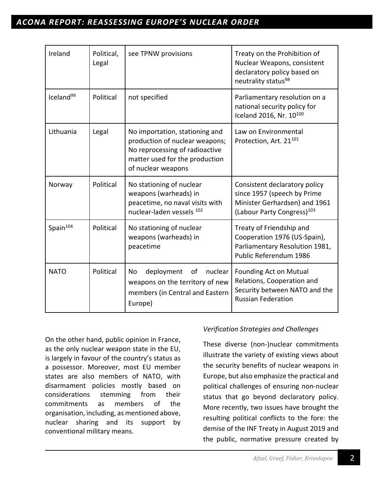# *ACONA REPORT: REASSESSING EUROPE'S NUCLEAR ORDER*

| Ireland               | Political,<br>Legal | see TPNW provisions                                                                                                                                        | Treaty on the Prohibition of<br>Nuclear Weapons, consistent<br>declaratory policy based on<br>neutrality status <sup>98</sup>           |
|-----------------------|---------------------|------------------------------------------------------------------------------------------------------------------------------------------------------------|-----------------------------------------------------------------------------------------------------------------------------------------|
| Iceland <sup>99</sup> | Political           | not specified                                                                                                                                              | Parliamentary resolution on a<br>national security policy for<br>Iceland 2016, Nr. 10100                                                |
| Lithuania             | Legal               | No importation, stationing and<br>production of nuclear weapons;<br>No reprocessing of radioactive<br>matter used for the production<br>of nuclear weapons | Law on Environmental<br>Protection, Art. 21 <sup>101</sup>                                                                              |
| Norway                | Political           | No stationing of nuclear<br>weapons (warheads) in<br>peacetime, no naval visits with<br>nuclear-laden vessels 102                                          | Consistent declaratory policy<br>since 1957 (speech by Prime<br>Minister Gerhardsen) and 1961<br>(Labour Party Congress) <sup>103</sup> |
| Spain <sup>104</sup>  | Political           | No stationing of nuclear<br>weapons (warheads) in<br>peacetime                                                                                             | Treaty of Friendship and<br>Cooperation 1976 (US-Spain),<br>Parliamentary Resolution 1981,<br>Public Referendum 1986                    |
| <b>NATO</b>           | Political           | deployment<br>nuclear<br>No<br>of<br>weapons on the territory of new<br>members (in Central and Eastern<br>Europe)                                         | <b>Founding Act on Mutual</b><br>Relations, Cooperation and<br>Security between NATO and the<br><b>Russian Federation</b>               |

On the other hand, public opinion in France, as the only nuclear weapon state in the EU, is largely in favour of the country's status as a possessor. Moreover, most EU member states are also members of NATO, with disarmament policies mostly based on considerations stemming from their commitments as members of the organisation, including, as mentioned above, nuclear sharing and its support by conventional military means.

# *Verification Strategies and Challenges*

These diverse (non-)nuclear commitments illustrate the variety of existing views about the security benefits of nuclear weapons in Europe, but also emphasize the practical and political challenges of ensuring non-nuclear status that go beyond declaratory policy. More recently, two issues have brought the resulting political conflicts to the fore: the demise of the INF Treaty in August 2019 and the public, normative pressure created by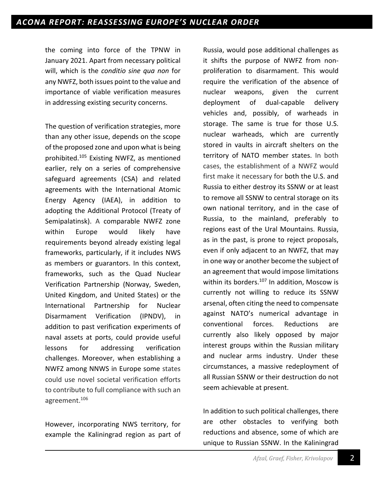the coming into force of the TPNW in January 2021. Apart from necessary political will, which is the *conditio sine qua non* for any NWFZ, both issues point to the value and importance of viable verification measures in addressing existing security concerns.

The question of verification strategies, more than any other issue, depends on the scope of the proposed zone and upon what is being prohibited.105 Existing NWFZ, as mentioned earlier, rely on a series of comprehensive safeguard agreements (CSA) and related agreements with the International Atomic Energy Agency (IAEA), in addition to adopting the Additional Protocol (Treaty of Semipalatinsk). A comparable NWFZ zone within Europe would likely have requirements beyond already existing legal frameworks, particularly, if it includes NWS as members or guarantors. In this context, frameworks, such as the Quad Nuclear Verification Partnership (Norway, Sweden, United Kingdom, and United States) or the International Partnership for Nuclear Disarmament Verification (IPNDV), in addition to past verification experiments of naval assets at ports, could provide useful lessons for addressing verification challenges. Moreover, when establishing a NWFZ among NNWS in Europe some states could use novel societal verification efforts to contribute to full compliance with such an agreement.106

However, incorporating NWS territory, for example the Kaliningrad region as part of Russia, would pose additional challenges as it shifts the purpose of NWFZ from nonproliferation to disarmament. This would require the verification of the absence of nuclear weapons, given the current deployment of dual-capable delivery vehicles and, possibly, of warheads in storage. The same is true for those U.S. nuclear warheads, which are currently stored in vaults in aircraft shelters on the territory of NATO member states. In both cases, the establishment of a NWFZ would first make it necessary for both the U.S. and Russia to either destroy its SSNW or at least to remove all SSNW to central storage on its own national territory, and in the case of Russia, to the mainland, preferably to regions east of the Ural Mountains. Russia, as in the past, is prone to reject proposals, even if only adjacent to an NWFZ, that may in one way or another become the subject of an agreement that would impose limitations within its borders.<sup>107</sup> In addition, Moscow is currently not willing to reduce its SSNW arsenal, often citing the need to compensate against NATO's numerical advantage in conventional forces. Reductions are currently also likely opposed by major interest groups within the Russian military and nuclear arms industry. Under these circumstances, a massive redeployment of all Russian SSNW or their destruction do not seem achievable at present.

In addition to such political challenges, there are other obstacles to verifying both reductions and absence, some of which are unique to Russian SSNW. In the Kaliningrad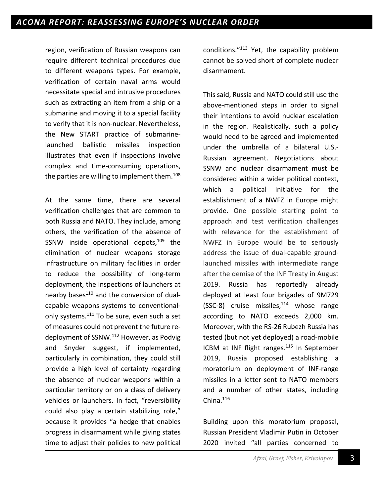region, verification of Russian weapons can require different technical procedures due to different weapons types. For example, verification of certain naval arms would necessitate special and intrusive procedures such as extracting an item from a ship or a submarine and moving it to a special facility to verify that it is non-nuclear. Nevertheless, the New START practice of submarinelaunched ballistic missiles inspection illustrates that even if inspections involve complex and time-consuming operations, the parties are willing to implement them. $108$ 

At the same time, there are several verification challenges that are common to both Russia and NATO. They include, among others, the verification of the absence of SSNW inside operational depots,<sup>109</sup> the elimination of nuclear weapons storage infrastructure on military facilities in order to reduce the possibility of long-term deployment, the inspections of launchers at nearby bases<sup>110</sup> and the conversion of dualcapable weapons systems to conventionalonly systems.<sup>111</sup> To be sure, even such a set of measures could not prevent the future redeployment of SSNW.112 However, as Podvig and Snyder suggest, if implemented, particularly in combination, they could still provide a high level of certainty regarding the absence of nuclear weapons within a particular territory or on a class of delivery vehicles or launchers. In fact, "reversibility could also play a certain stabilizing role," because it provides "a hedge that enables progress in disarmament while giving states time to adjust their policies to new political

conditions."113 Yet, the capability problem cannot be solved short of complete nuclear disarmament.

This said, Russia and NATO could still use the above-mentioned steps in order to signal their intentions to avoid nuclear escalation in the region. Realistically, such a policy would need to be agreed and implemented under the umbrella of a bilateral U.S.- Russian agreement. Negotiations about SSNW and nuclear disarmament must be considered within a wider political context, which a political initiative for the establishment of a NWFZ in Europe might provide. One possible starting point to approach and test verification challenges with relevance for the establishment of NWFZ in Europe would be to seriously address the issue of dual-capable groundlaunched missiles with intermediate range after the demise of the INF Treaty in August 2019. Russia has reportedly already deployed at least four brigades of 9M729  $(SSC-8)$  cruise missiles,<sup>114</sup> whose range according to NATO exceeds 2,000 km. Moreover, with the RS-26 Rubezh Russia has tested (but not yet deployed) a road-mobile ICBM at INF flight ranges.<sup>115</sup> In September 2019, Russia proposed establishing a moratorium on deployment of INF-range missiles in a letter sent to NATO members and a number of other states, including China. $116$ 

Building upon this moratorium proposal, Russian President Vladimir Putin in October 2020 invited "all parties concerned to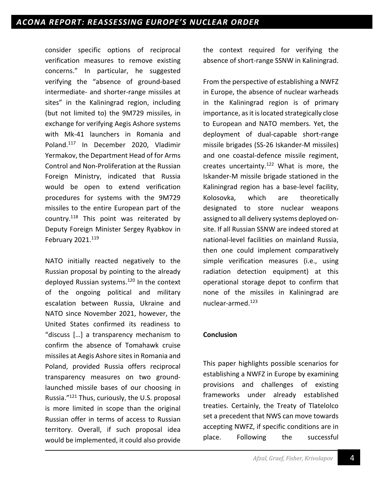consider specific options of reciprocal verification measures to remove existing concerns." In particular, he suggested verifying the "absence of ground-based intermediate- and shorter-range missiles at sites" in the Kaliningrad region, including (but not limited to) the 9M729 missiles, in exchange for verifying Aegis Ashore systems with Mk-41 launchers in Romania and Poland.117 In December 2020, Vladimir Yermakov, the Department Head of for Arms Control and Non-Proliferation at the Russian Foreign Ministry, indicated that Russia would be open to extend verification procedures for systems with the 9M729 missiles to the entire European part of the country.118 This point was reiterated by Deputy Foreign Minister Sergey Ryabkov in February  $2021.<sup>119</sup>$ 

NATO initially reacted negatively to the Russian proposal by pointing to the already deployed Russian systems.<sup>120</sup> In the context of the ongoing political and military escalation between Russia, Ukraine and NATO since November 2021, however, the United States confirmed its readiness to "discuss […] a transparency mechanism to confirm the absence of Tomahawk cruise missiles at Aegis Ashore sites in Romania and Poland, provided Russia offers reciprocal transparency measures on two groundlaunched missile bases of our choosing in Russia."121 Thus, curiously, the U.S. proposal is more limited in scope than the original Russian offer in terms of access to Russian territory. Overall, if such proposal idea would be implemented, it could also provide the context required for verifying the absence of short-range SSNW in Kaliningrad.

From the perspective of establishing a NWFZ in Europe, the absence of nuclear warheads in the Kaliningrad region is of primary importance, as it is located strategically close to European and NATO members. Yet, the deployment of dual-capable short-range missile brigades (SS-26 Iskander-M missiles) and one coastal-defence missile regiment, creates uncertainty.<sup>122</sup> What is more, the Iskander-M missile brigade stationed in the Kaliningrad region has a base-level facility, Kolosovka, which are theoretically designated to store nuclear weapons assigned to all delivery systems deployed onsite. If all Russian SSNW are indeed stored at national-level facilities on mainland Russia, then one could implement comparatively simple verification measures (i.e., using radiation detection equipment) at this operational storage depot to confirm that none of the missiles in Kaliningrad are nuclear-armed.123

# **Conclusion**

This paper highlights possible scenarios for establishing a NWFZ in Europe by examining provisions and challenges of existing frameworks under already established treaties. Certainly, the Treaty of Tlatelolco set a precedent that NWS can move towards accepting NWFZ, if specific conditions are in place. Following the successful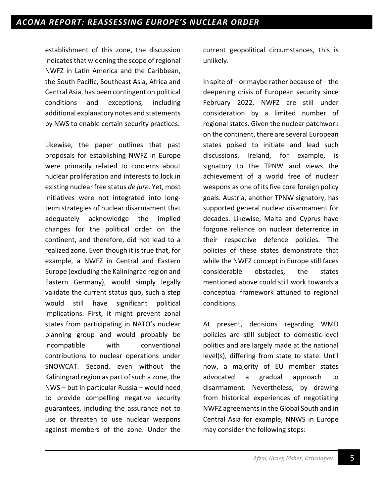establishment of this zone, the discussion indicates that widening the scope of regional NWFZ in Latin America and the Caribbean, the South Pacific, Southeast Asia, Africa and Central Asia, has been contingent on political conditions and exceptions, including additional explanatory notes and statements by NWS to enable certain security practices.

Likewise, the paper outlines that past proposals for establishing NWFZ in Europe were primarily related to concerns about nuclear proliferation and interests to lock in existing nuclear free status *de jure*. Yet, most initiatives were not integrated into longterm strategies of nuclear disarmament that adequately acknowledge the implied changes for the political order on the continent, and therefore, did not lead to a realized zone. Even though it is true that, for example, a NWFZ in Central and Eastern Europe (excluding the Kaliningrad region and Eastern Germany), would simply legally validate the current status quo, such a step would still have significant political implications. First, it might prevent zonal states from participating in NATO's nuclear planning group and would probably be incompatible with conventional contributions to nuclear operations under SNOWCAT. Second, even without the Kaliningrad region as part of such a zone, the NWS – but in particular Russia – would need to provide compelling negative security guarantees, including the assurance not to use or threaten to use nuclear weapons against members of the zone. Under the

current geopolitical circumstances, this is unlikely.

In spite of  $-$  or maybe rather because of  $-$  the deepening crisis of European security since February 2022, NWFZ are still under consideration by a limited number of regional states. Given the nuclear patchwork on the continent, there are several European states poised to initiate and lead such discussions. Ireland, for example, is signatory to the TPNW and views the achievement of a world free of nuclear weapons as one of its five core foreign policy goals. Austria, another TPNW signatory, has supported general nuclear disarmament for decades. Likewise, Malta and Cyprus have forgone reliance on nuclear deterrence in their respective defence policies. The policies of these states demonstrate that while the NWFZ concept in Europe still faces considerable obstacles, the states mentioned above could still work towards a conceptual framework attuned to regional conditions.

At present, decisions regarding WMD policies are still subject to domestic-level politics and are largely made at the national level(s), differing from state to state. Until now, a majority of EU member states advocated a gradual approach to disarmament. Nevertheless, by drawing from historical experiences of negotiating NWFZ agreements in the Global South and in Central Asia for example, NNWS in Europe may consider the following steps: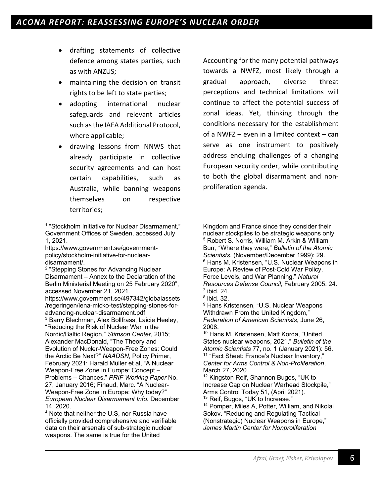- drafting statements of collective defence among states parties, such as with ANZUS;
- maintaining the decision on transit rights to be left to state parties;
- adopting international nuclear safeguards and relevant articles such as the IAEA Additional Protocol, where applicable;
- drawing lessons from NNWS that already participate in collective security agreements and can host certain capabilities, such as Australia, while banning weapons themselves on respective territories;

https://www.government.se/governmentpolicy/stockholm-initiative-for-nucleardisarmament/.

<sup>2</sup> "Stepping Stones for Advancing Nuclear Disarmament – Annex to the Declaration of the Berlin Ministerial Meeting on 25 February 2020", accessed November 21, 2021. https://www.government.se/497342/globalassets

/regeringen/lena-micko-test/stepping-stones-foradvancing-nuclear-disarmament.pdf <sup>3</sup> Barry Blechman, Alex Bollfrass, Laicie Heeley,

<sup>4</sup> Note that neither the U.S, nor Russia have officially provided comprehensive and verifiable data on their arsenals of sub-strategic nuclear weapons. The same is true for the United

Accounting for the many potential pathways towards a NWFZ, most likely through a gradual approach, diverse threat perceptions and technical limitations will continue to affect the potential success of zonal ideas. Yet, thinking through the conditions necessary for the establishment of a NWFZ – even in a limited context – can serve as one instrument to positively address enduing challenges of a changing European security order, while contributing to both the global disarmament and nonproliferation agenda.

Kingdom and France since they consider their nuclear stockpiles to be strategic weapons only. <sup>5</sup> Robert S. Norris, William M. Arkin & William Burr, "Where they were," *Bulletin of the Atomic Scientists*, (November/December 1999): 29. <sup>6</sup> Hans M. Kristensen, "U.S. Nuclear Weapons in Europe: A Review of Post-Cold War Policy, Force Levels, and War Planning," *Natural Resources Defense Council*, February 2005: 24.  $<sup>7</sup>$  ibid. 24.</sup>

<sup>9</sup> Hans Kristensen, "U.S. Nuclear Weapons Withdrawn From the United Kingdom," *Federation of American Scientists*, June 26, 2008.

<sup>10</sup> Hans M. Kristensen, Matt Korda, "United States nuclear weapons, 2021," *Bulletin of the Atomic Scientists* 77, no. 1 (January 2021): 56. <sup>11</sup> "Fact Sheet: France's Nuclear Inventory," *Center for Arms Control & Non-Proliferation*, March 27, 2020.

<sup>12</sup> Kingston Reif, Shannon Bugos, "UK to Increase Cap on Nuclear Warhead Stockpile," Arms Control Today 51, (April 2021). <sup>13</sup> Reif, Bugos, "UK to Increase."

<sup>14</sup> Pomper, Miles A, Potter, William, and Nikolai Sokov. "Reducing and Regulating Tactical (Nonstrategic) Nuclear Weapons in Europe," *James Martin Center for Nonproliferation* 

<sup>&</sup>lt;sup>1</sup> "Stockholm Initiative for Nuclear Disarmament," Government Offices of Sweden, accessed July 1, 2021.

<sup>&</sup>quot;Reducing the Risk of Nuclear War in the Nordic/Baltic Region," *Stimson Center*, 2015; Alexander MacDonald, "The Theory and Evolution of Nucler-Weapon-Free Zones: Could the Arctic Be Next?" *NAADSN*, Policy Primer, February 2021; Harald Müller et al, "A Nuclear Weapon-Free Zone in Europe: Concept – Problems – Chances," *PRIF Working Paper* No. 27, January 2016; Finaud, Marc. "A Nuclear-Weapon-Free Zone in Europe: Why today?" *European Nuclear Disarmament Info*. December 14, 2020.

 $8$  ibid. 32.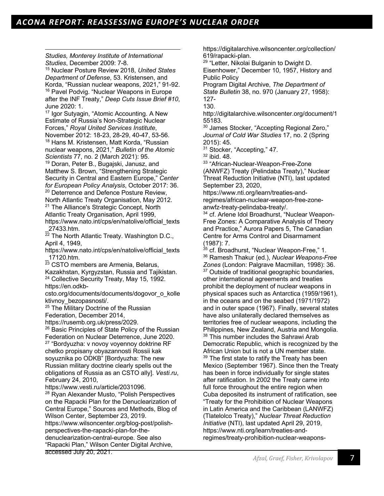*Studies, Monterey Institute of International Studies*, December 2009: 7-8.

<sup>15</sup> Nuclear Posture Review 2018, *United States Department of Defense*, 53. Kristensen, and Korda, "Russian nuclear weapons, 2021," 91-92. <sup>16</sup> Pavel Podvig. "Nuclear Weapons in Europe after the INF Treaty," *Deep Cuts Issue Brief #10*, June 2020: 1.

<sup>17</sup> Igor Sutyagin, "Atomic Accounting. A New Estimate of Russia's Non-Strategic Nuclear Forces," *Royal United Services Institute*, November 2012: 18-23, 28-29, 40-47, 53-56. <sup>18</sup> Hans M. Kristensen, Matt Korda, "Russian

nuclear weapons, 2021," *Bulletin of the Atomic Scientists* 77, no. 2 (March 2021): 95.

<sup>19</sup> Doran, Peter B., Bugajski, Janusz, and Matthew S. Brown, "Strengthening Strategic Security in Central and Eastern Europe," *Center for European Policy Analysis*, October 2017: 36. <sup>20</sup> Deterrence and Defence Posture Review,

North Atlantic Treaty Organisation, May 2012. <sup>21</sup> The Alliance's Strategic Concept, North

Atlantic Treaty Organisation, April 1999, https://www.nato.int/cps/en/natolive/official\_texts \_27433.htm.

 $\overline{22}$  The North Atlantic Treaty. Washington D.C., April 4, 1949,

https://www.nato.int/cps/en/natolive/official\_texts \_17120.htm.

 $\overline{23}$  CSTO members are Armenia, Belarus,

Kazakhstan, Kyrgyzstan, Russia and Tajikistan. <sup>24</sup> Collective Security Treaty, May 15, 1992.

https://en.odkb-

csto.org/documents/documents/dogovor\_o\_kolle ktivnoy\_bezopasnosti/.

<sup>25</sup> The Military Doctrine of the Russian

Federation, December 2014,

https://rusemb.org.uk/press/2029.

<sup>26</sup> Basic Principles of State Policy of the Russian Federation on Nuclear Deterrence, June 2020. <sup>27</sup> "Bordyuzha: v novoy voyennoy doktrine RF

chetko propisany obyazannosti Rossii kak soyuznika po ODKB" [Bordyuzha: The new Russian military doctrine clearly spells out the obligations of Russia as an CSTO ally]. *Vesti.ru*, February 24, 2010,

https://www.vesti.ru/article/2031096.

<sup>28</sup> Ryan Alexander Musto, "Polish Perspectives on the Rapacki Plan for the Denuclearization of Central Europe," Sources and Methods, Blog of Wilson Center, September 23, 2019.

https://www.wilsoncenter.org/blog-post/polishperspectives-the-rapacki-plan-for-thedenuclearization-central-europe. See also "Rapacki Plan," Wilson Center Digital Archive,

accessed July 20, 2021.

https://digitalarchive.wilsoncenter.org/collection/ 619/rapacki-plan.

<sup>29</sup> "Letter, Nikolai Bulganin to Dwight D.

Eisenhower," December 10, 1957, History and Public Policy

Program Digital Archive, *The Department of State Bulletin* 38, no. 970 (January 27, 1958): 127-

130.

http://digitalarchive.wilsoncenter.org/document/1 55183.

<sup>30</sup> James Stocker, "Accepting Regional Zero," *Journal of Cold War Studies* 17, no. 2 (Spring 2015): 45.

<sup>31</sup> Stocker, "Accepting," 47.

<sup>32</sup> ibid. 48.

<sup>33</sup> "African-Nuclear-Weapon-Free-Zone (ANWFZ) Treaty (Pelindaba Treaty)," Nuclear

Threat Reduction Initiative (NTI), last updated September 23, 2020,

https://www.nti.org/learn/treaties-andregimes/african-nuclear-weapon-free-zoneanwfz-treaty-pelindaba-treaty/.

<sup>34</sup> cf. Arlene Idol Broadhurst, "Nuclear Weapon-Free Zones: A Comparative Analysis of Theory and Practice," Aurora Papers 5, The Canadian Centre for Arms Control and Disarmament (1987): 7.

<sup>35</sup> cf. Broadhurst, "Nuclear Weapon-Free," 1. <sup>36</sup> Ramesh Thakur (ed.), *Nuclear Weapons-Free Zones* (London: Palgrave Macmillan, 1998): 36. <sup>37</sup> Outside of traditional geographic boundaries, other international agreements and treaties prohibit the deployment of nuclear weapons in physical spaces such as Antarctica (1959/1961), in the oceans and on the seabed (1971/1972) and in outer space (1967). Finally, several states have also unilaterally declared themselves as territories free of nuclear weapons, including the Philippines, New Zealand, Austria and Mongolia. <sup>38</sup> This number includes the Sahrawi Arab Democratic Republic, which is recognized by the African Union but is not a UN member state. <sup>39</sup> The first state to ratify the Treaty has been Mexico (September 1967). Since then the Treaty has been in force individually for single states after ratification. In 2002 the Treaty came into full force throughout the entire region when Cuba deposited its instrument of ratification, see "Treaty for the Prohibition of Nuclear Weapons in Latin America and the Caribbean (LANWFZ) (Tlatelolco Treaty)," *Nuclear Threat Reduction Initiative* (NTI), last updated April 29, 2019, https://www.nti.org/learn/treaties-andregimes/treaty-prohibition-nuclear-weapons-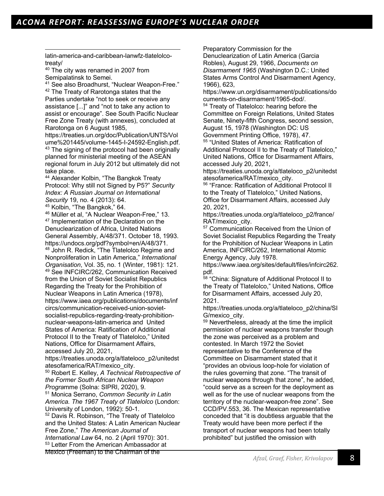latin-america-and-caribbean-lanwfz-tlatelolcotreaty/

<sup>40</sup> The city was renamed in 2007 from Semipalatinsk to Semei.

<sup>41</sup> See also Broadhurst, "Nuclear Weapon-Free." <sup>42</sup> The Treaty of Rarotonga states that the Parties undertake "not to seek or receive any assistance [...]" and "not to take any action to assist or encourage". See South Pacific Nuclear Free Zone Treaty (with annexes), concluded at Rarotonga on 6 August 1985,

https://treaties.un.org/doc/Publication/UNTS/Vol ume%201445/volume-1445-I-24592-English.pdf. <sup>43</sup> The signing of the protocol had been originally planned for ministerial meeting of the ASEAN regional forum in July 2012 but ultimately did not take place.

<sup>44</sup> Alexander Kolbin, "The Bangkok Treaty Protocol: Why still not Signed by P5?" *Security Index: A Russian Journal on International Security* 19, no. 4 (2013): 64.

<sup>45</sup> Kolbin, "The Bangkok," 64.

<sup>46</sup> Müller et al, "A Nuclear Weapon-Free," 13. <sup>47</sup> Implementation of the Declaration on the Denuclearization of Africa, United Nations General Assembly, A/48/371. October 18, 1993. https://undocs.org/pdf?symbol=en/A/48/371. <sup>48</sup> John R. Redick, "The Tlatelolco Regime and Nonproliferation in Latin America," *International Organisation*, Vol. 35, no. 1 (Winter, 1981): 121. <sup>49</sup> See INFCIRC/262, Communication Received from the Union of Soviet Socialist Republics Regarding the Treaty for the Prohibition of Nuclear Weapons in Latin America (1978), https://www.iaea.org/publications/documents/inf circs/communication-received-union-sovietsocialist-republics-regarding-treaty-prohibitionnuclear-weapons-latin-america and United States of America: Ratification of Additional Protocol II to the Treaty of Tlatelolco," United Nations, Office for Disarmament Affairs, accessed July 20, 2021,

https://treaties.unoda.org/a/tlateloco\_p2/unitedst atesofamerica/RAT/mexico\_city.

<sup>50</sup> Robert E. Kelley, *A Technical Retrospective of the Former South African Nuclear Weapon Progra*mme (Solna: SIPRI, 2020), 9.

<sup>51</sup> Monica Serrano, *Common Security in Latin America. The 1967 Treaty of Tlatelolco* (London: University of London, 1992): 50-1.

<sup>52</sup> Davis R. Robinson, "The Treaty of Tlatelolco and the United States: A Latin American Nuclear Free Zone," *The American Journal of International Law* 64, no. 2 (April 1970): 301. <sup>53</sup> Letter From the American Ambassador at

Mexico (Freeman) to the Chairman of the

Preparatory Commission for the

Denuclearization of Latin America (Garcia Robles), August 29, 1966, *Documents on Disarmament 1965* (Washington D.C.: United States Arms Control And Disarmament Agency, 1966), 623,

https://www.un.org/disarmament/publications/do cuments-on-disarmament/1965-dod/.

<sup>54</sup> Treaty of Tlatelolco: hearing before the Committee on Foreign Relations, United States Senate, Ninety-fifth Congress, second session, August 15, 1978 (Washington DC: US Government Printing Office, 1978), 47.<br><sup>55</sup> "United States of America: Ratification of

Additional Protocol II to the Treaty of Tlatelolco," United Nations, Office for Disarmament Affairs, accessed July 20, 2021,

https://treaties.unoda.org/a/tlateloco\_p2/unitedst atesofamerica/RAT/mexico\_city.

<sup>56</sup> "France: Ratification of Additional Protocol II to the Treaty of Tlatelolco," United Nations, Office for Disarmament Affairs, accessed July 20, 2021,

https://treaties.unoda.org/a/tlateloco\_p2/france/ RAT/mexico\_city.

<sup>57</sup> Communication Received from the Union of Soviet Socialist Republics Regarding the Treaty for the Prohibition of Nuclear Weapons in Latin America, INFCIRC/262, International Atomic Energy Agency, July 1978.

https://www.iaea.org/sites/default/files/infcirc262. pdf.

<sup>58</sup> "China: Signature of Additional Protocol II to the Treaty of Tlatelolco," United Nations, Office for Disarmament Affairs, accessed July 20, 2021.

https://treaties.unoda.org/a/tlateloco\_p2/china/SI G/mexico\_city.

<sup>59</sup> Nevertheless, already at the time the implicit permission of nuclear weapons transfer though the zone was perceived as a problem and contested. In March 1972 the Soviet representative to the Conference of the Committee on Disarmament stated that it "provides an obvious loop-hole for violation of the rules governing that zone. "The transit of nuclear weapons through that zone", he added, "could serve as a screen for the deployment as well as for the use of nuclear weapons from the territory of the nuclear-weapon-free zone". See CCD/PV.553, 36. The Mexican representative conceded that "it is doubtless arguable that the Treaty would have been more perfect if the transport of nuclear weapons had been totally prohibited" but justified the omission with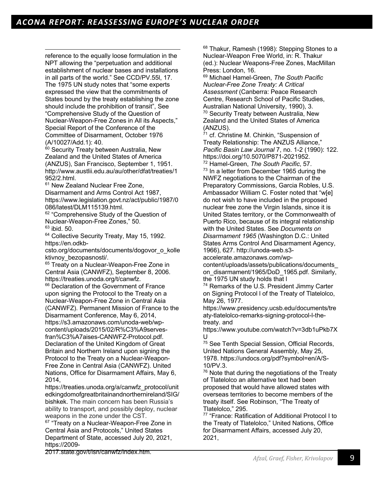reference to the equally loose formulation in the NPT allowing the "perpetuation and additional establishment of nuclear bases and installations in all parts of the world." See CCD/PV.55l, 17. The 1975 UN study notes that "some experts expressed the view that the commitments of States bound by the treaty establishing the zone should include the prohibition of transit", See "Comprehensive Study of the Question of Nuclear-Weapon-Free Zones in All its Aspects," Special Report of the Conference of the Committee of Disarmament, October 1976 (A/10027/Add.1): 40.

<sup>60</sup> Security Treaty between Australia, New Zealand and the United States of America (ANZUS), San Francisco, September 1, 1951. http://www.austlii.edu.au/au/other/dfat/treaties/1 952/2.html.

<sup>61</sup> New Zealand Nuclear Free Zone, Disarmament and Arms Control Act 1987, https://www.legislation.govt.nz/act/public/1987/0 086/latest/DLM115139.html.

<sup>62</sup> "Comprehensive Study of the Question of Nuclear-Weapon-Free Zones," 50.  $63$  ibid. 50.

<sup>64</sup> Collective Security Treaty, May 15, 1992. https://en.odkb-

csto.org/documents/documents/dogovor\_o\_kolle ktivnoy\_bezopasnosti/.

<sup>65</sup> Treaty on a Nuclear-Weapon-Free Zone in Central Asia (CANWFZ), September 8, 2006. https://treaties.unoda.org/t/canwfz.

<sup>66</sup> Declaration of the Government of France upon signing the Protocol to the Treaty on a Nuclear-Weapon-Free Zone in Central Asia (CANWFZ). Permanent Mission of France to the Disarmament Conference, May 6, 2014, https://s3.amazonaws.com/unoda-web/wpcontent/uploads/2015/02/R%C3%A9servesfran%C3%A7aises-CANWFZ-Protocol.pdf. Declaration of the United Kingdom of Great Britain and Northern Ireland upon signing the Protocol to the Treaty on a Nuclear-Weapon-Free Zone in Central Asia (CANWFZ). United Nations, Office for Disarmament Affairs, May 6, 2014,

https://treaties.unoda.org/a/canwfz\_protocol/unit edkingdomofgreatbritainandnorthernireland/SIG/ bishkek. The main concern has been Russia's ability to transport, and possibly deploy, nuclear weapons in the zone under the CST.

<sup>67</sup> "Treaty on a Nuclear-Weapon-Free Zone in Central Asia and Protocols," United States Department of State, accessed July 20, 2021, https://2009-

2017.state.gov/t/isn/canwfz/index.htm.

<sup>68</sup> Thakur, Ramesh (1998): Stepping Stones to a Nuclear-Weapon Free World, in: R. Thakur (ed.): Nuclear Weapons-Free Zones, MacMillan Press: London, 16.

<sup>69</sup> Michael Hamel-Green, *The South Pacific Nuclear-Free Zone Treaty: A Critical Assessment* (Canberra: Peace Research Centre, Research School of Pacific Studies, Australian National University, 1990), 3. <sup>70</sup> Security Treaty between Australia, New Zealand and the United States of America (ANZUS).

 $71$  cf. Christine M. Chinkin, "Suspension of Treaty Relationship: The ANZUS Alliance," *Pacific Basin Law Journal* 7, no. 1-2 (1990): 122. https://doi.org/10.5070/P871-2021952. <sup>72</sup> Hamel-Green, *The South Pacific*, 57.  $73$  In a letter from December 1965 during the NWFZ negotiations to the Chairman of the Preparatory Commissions, Garcia Robles, U.S. Ambassador William C. Foster noted that "w[e] do not wish to have included in the proposed nuclear free zone the Virgin Islands, since it is United States territory, or the Commonwealth of Puerto Rico, because of its integral relationship with the United States. See *Documents on Disarmament 1965* (Washington D.C.: United States Arms Control And Disarmament Agency, 1966), 627. http://unoda-web.s3-

accelerate.amazonaws.com/wpcontent/uploads/assets/publications/documents\_ on\_disarmament/1965/DoD\_1965.pdf. Similarly, the 1975 UN study holds that l

<sup>74</sup> Remarks of the U.S. President Jimmy Carter on Signing Protocol l of the Treaty of Tlatelolco, May 26, 1977.

https://www.presidency.ucsb.edu/documents/tre aty-tlatelolco-remarks-signing-protocol-l-thetreaty. and

https://www.youtube.com/watch?v=3db1uPkb7X U

<sup>75</sup> See Tenth Special Session, Official Records, United Nations General Assembly, May 25, 1978. https://undocs.org/pdf?symbol=en/A/S-10/PV.3.

 $76$  Note that during the negotiations of the Treaty of Tlatelolco an alternative text had been proposed that would have allowed states with overseas territories to become members of the treaty itself. See Robinson, "The Treaty of Tlatelolco," 295.

<sup>77</sup> "France: Ratification of Additional Protocol I to the Treaty of Tlatelolco," United Nations, Office for Disarmament Affairs, accessed July 20, 2021,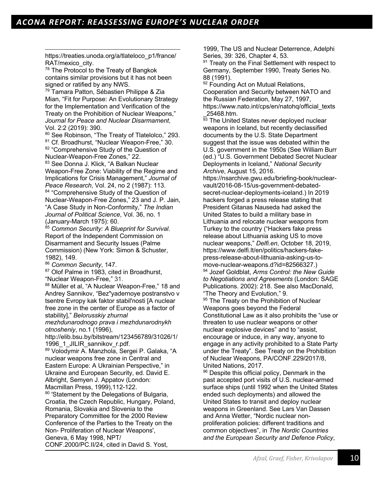https://treaties.unoda.org/a/tlateloco\_p1/france/ RAT/mexico\_city.

<sup>78</sup> The Protocol to the Treaty of Bangkok contains similar provisions but it has not been signed or ratified by any NWS.

<sup>79</sup> Tamara Patton, Sébastien Philippe & Zia Mian, "Fit for Purpose: An Evolutionary Strategy for the Implementation and Verification of the Treaty on the Prohibition of Nuclear Weapons," *Journal for Peace and Nuclear Disarmament*, Vol. 2:2 (2019): 390.

80 See Robinson, "The Treaty of Tlatelolco," 293. <sup>81</sup> Cf. Broadhurst, "Nuclear Weapon-Free," 30. 82 "Comprehensive Study of the Question of Nuclear-Weapon-Free Zones," 22.

83 See Donna J. Klick, "A Balkan Nuclear Weapon-Free Zone: Viability of the Regime and Implications for Crisis Management," *Journal of Peace Research*, Vol. 24, no 2 (1987): 113. 84 "Comprehensive Study of the Question of

Nuclear-Weapon-Free Zones," 23 and J. P. Jain, "A Case Study in Non-Conformity," *The Indian Journal of Political Science*, Vol. 36, no. 1 (January-March 1975): 60.

<sup>85</sup> *Common Security: A Blueprint for Survival*. Report of the Independent Commission on Disarmament and Security Issues (Palme Commission) (New York: Simon & Schuster, 1982), 149.

<sup>86</sup> *Common Security*, 147.

87 Olof Palme in 1983, cited in Broadhurst, "Nuclear Weapon-Free," 31.

88 Müller et al, "A Nuclear Weapon-Free," 18 and Andrey Sannikov, "Bez"yadernoye postranstvo v tsentre Evropy kak faktor stabil'nosti [A nuclear free zone in the center of Europe as a factor of stability]," *Belorusskiy zhurnal* 

*mezhdunarodnogo prava i mezhdunarodnykh otnosheniy*, no.1 (1996),

http://elib.bsu.by/bitstream/123456789/31026/1/ 1996\_1\_JILIR\_sannikov\_r.pdf.

<sup>89</sup> Volodymir A. Manzhola, Sergei P. Galaka, "A nuclear weapons free zone in Central and Eastern Europe: A Ukrainian Perspective," in Ukraine and European Security, ed. David E. Albright, Semyen J. Appatov (London: Macmillan Press, 1999),112-122.

<sup>90</sup> 'Statement by the Delegations of Bulgaria, Croatia, the Czech Republic, Hungary, Poland, Romania, Slovakia and Slovenia to the Preparatory Committee for the 2000 Review Conference of the Parties to the Treaty on the Non- Proliferation of Nuclear Weapons', Geneva, 6 May 1998, NPT/ CONF.2000/PC.II/24, cited in David S. Yost,

1999, The US and Nuclear Deterrence, Adelphi Series, 39: 326, Chapter 4, 53.

<sup>91</sup> Treaty on the Final Settlement with respect to Germany, September 1990, Treaty Series No. 88 (1991).

<sup>92</sup> Founding Act on Mutual Relations. Cooperation and Security between NATO and the Russian Federation, May 27, 1997, https://www.nato.int/cps/en/natohq/official\_texts \_25468.htm.

 $\overline{93}$  The United States never deployed nuclear weapons in Iceland, but recently declassified documents by the U.S. State Department suggest that the issue was debated within the U.S. government in the 1950s (See William Burr (ed.) "U.S. Government Debated Secret Nuclear Deployments in Iceland," *National Security Archive*, August 15, 2016.

https://nsarchive.gwu.edu/briefing-book/nuclearvault/2016-08-15/us-government-debatedsecret-nuclear-deployments-iceland.) In 2019 hackers forged a press release stating that President Gitanas Nauseda had asked the United States to build a military base in Lithuania and relocate nuclear weapons from Turkey to the country ("Hackers fake press release about Lithuania asking US to move nuclear weapons," *Delfi.en*, October 18, 2019, https://www.delfi.lt/en/politics/hackers-fakepress-release-about-lithuania-asking-us-tomove-nuclear-weapons.d?id=82566327.)

<sup>94</sup> Jozef Goldblat, *Arms Control: the New Guide to Negotiations and Agreements* (London: SAGE Publications. 2002): 218. See also MacDonald, "The Theory and Evolution," 9.

95 The Treaty on the Prohibition of Nuclear Weapons goes beyond the Federal Constitutional Law as it also prohibits the "use or threaten to use nuclear weapons or other

nuclear explosive devices" and to "assist, encourage or induce, in any way, anyone to engage in any activity prohibited to a State Party under the Treaty". See Treaty on the Prohibition of Nuclear Weapons, PA/CONF.229/2017/8, United Nations, 2017.

<sup>96</sup> Despite this official policy, Denmark in the past accepted port visits of U.S. nuclear-armed surface ships (until 1992 when the United States ended such deployments) and allowed the United States to transit and deploy nuclear weapons in Greenland. See Lars Van Dassen and Anna Wetter, "Nordic nuclear nonproliferation policies: different traditions and common objectives", in *The Nordic Countries and the European Security and Defence Policy*,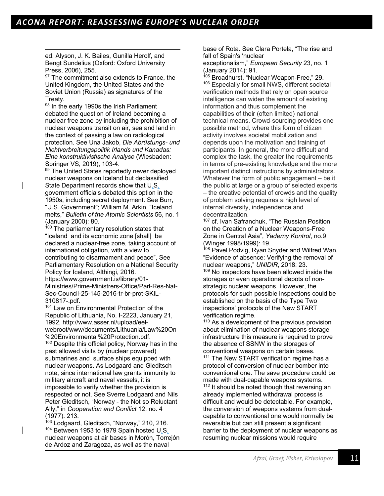ed. Alyson, J. K. Bailes, Gunilla Herolf, and Bengt Sundelius (Oxford: Oxford University Press, 2006), 255.

<sup>97</sup> The commitment also extends to France, the United Kingdom, the United States and the Soviet Union (Russia) as signatures of the Treaty.

98 In the early 1990s the Irish Parliament debated the question of Ireland becoming a nuclear free zone by including the prohibition of nuclear weapons transit on air, sea and land in the context of passing a law on radiological protection. See Una Jakob, *Die Abrüstungs- und Nichtverbreitungspolitik Irlands und Kanadas: Eine konstruktivistische Analyse* (Wiesbaden: Springer VS, 2019), 103-4.

99 The United States reportedly never deployed nuclear weapons on Iceland but declassified State Department records show that U.S. government officials debated this option in the 1950s, including secret deployment. See Burr, "U.S. Government"; William M. Arkin, "Iceland melts," *Bulletin of the Atomic Scientists* 56, no. 1 (January 2000): 80.

<sup>100</sup> The parliamentary resolution states that "Iceland and its economic zone [shall] be declared a nuclear-free zone, taking account of international obligation, with a view to contributing to disarmament and peace", See Parliamentary Resolution on a National Security Policy for Iceland, Althingi, 2016. https://www.government.is/library/01- Ministries/Prime-Ministrers-Office/Parl-Res-Nat-Sec-Council-25-145-2016-tr-br-prot-SKIL-310817-.pdf.

<sup>101</sup> Law on Environmental Protection of the Republic of Lithuania, No. I-2223, January 21, 1992, http://www.asser.nl/upload/eelwebroot/www/documents/Lithuania/Law%20On %20Environmental%20Protection.pdf.

<sup>102</sup> Despite this official policy, Norway has in the past allowed visits by (nuclear powered) submarines and surface ships equipped with nuclear weapons. As Lodgaard and Gleditsch note, since international law grants immunity to military aircraft and naval vessels, it is impossible to verify whether the provision is respected or not. See Sverre Lodgaard and Nils Peter Gleditsch, "Norway - the Not so Reluctant Ally," in *Cooperation and Conflict* 12, no. 4 (1977): 213.

<sup>103</sup> Lodgaard, Gleditsch, "Norway," 210, 216. <sup>104</sup> Between 1953 to 1979 Spain hosted U<sub>.S.</sub> nuclear weapons at air bases in Morón, Torrejón de Ardoz and Zaragoza, as well as the naval

base of Rota. See Clara Portela, "The rise and fall of Spain's 'nuclear

exceptionalism," *European Security* 23, no. 1 (January 2014): 91.

<sup>105</sup> Broadhurst, "Nuclear Weapon-Free," 29. <sup>106</sup> Especially for small NWS, different societal verification methods that rely on open source intelligence can widen the amount of existing information and thus complement the capabilities of their (often limited) national technical means. Crowd-sourcing provides one possible method, where this form of citizen activity involves societal mobilization and depends upon the motivation and training of participants. In general, the more difficult and complex the task, the greater the requirements in terms of pre-existing knowledge and the more important distinct instructions by administrators. Whatever the form of public engagement – be it the public at large or a group of selected experts – the creative potential of crowds and the quality of problem solving requires a high level of internal diversity, independence and decentralization.

<sup>107</sup> cf. Ivan Safranchuk, "The Russian Position on the Creation of a Nuclear Weapons-Free Zone in Central Asia", *Yaderny Kontrol*, no.9 (Winger 1998/1999): 19.

<sup>108</sup> Pavel Podvig, Ryan Snyder and Wilfred Wan, "Evidence of absence: Verifying the removal of nuclear weapons," *UNIDIR*, 2018: 23. <sup>109</sup> No inspectors have been allowed inside the storages or even operational depots of nonstrategic nuclear weapons. However, the protocols for such possible inspections could be established on the basis of the Type Two inspections' protocols of the New START verification regime.

<sup>110</sup> As a development of the previous provision about elimination of nuclear weapons storage infrastructure this measure is required to prove the absence of SSNW in the storages of conventional weapons on certain bases.

<sup>111</sup> The New START verification regime has a protocol of conversion of nuclear bomber into conventional one. The save procedure could be made with dual-capable weapons systems.  $112$  It should be noted though that reversing an already implemented withdrawal process is difficult and would be detectable. For example, the conversion of weapons systems from dualcapable to conventional one would normally be

reversible but can still present a significant barrier to the deployment of nuclear weapons as resuming nuclear missions would require